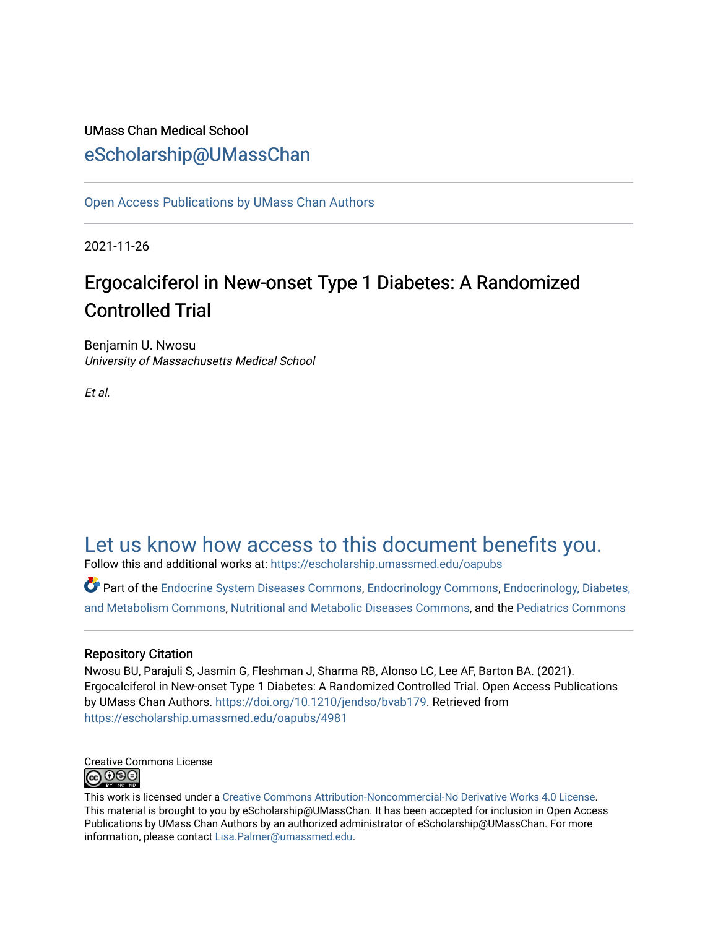# UMass Chan Medical School [eScholarship@UMassChan](https://escholarship.umassmed.edu/)

[Open Access Publications by UMass Chan Authors](https://escholarship.umassmed.edu/oapubs) 

2021-11-26

# Ergocalciferol in New-onset Type 1 Diabetes: A Randomized Controlled Trial

Benjamin U. Nwosu University of Massachusetts Medical School

Et al.

# [Let us know how access to this document benefits you.](https://arcsapps.umassmed.edu/redcap/surveys/?s=XWRHNF9EJE)

Follow this and additional works at: [https://escholarship.umassmed.edu/oapubs](https://escholarship.umassmed.edu/oapubs?utm_source=escholarship.umassmed.edu%2Foapubs%2F4981&utm_medium=PDF&utm_campaign=PDFCoverPages) 

Part of the [Endocrine System Diseases Commons,](https://network.bepress.com/hgg/discipline/969?utm_source=escholarship.umassmed.edu%2Foapubs%2F4981&utm_medium=PDF&utm_campaign=PDFCoverPages) [Endocrinology Commons](https://network.bepress.com/hgg/discipline/72?utm_source=escholarship.umassmed.edu%2Foapubs%2F4981&utm_medium=PDF&utm_campaign=PDFCoverPages), [Endocrinology, Diabetes,](https://network.bepress.com/hgg/discipline/686?utm_source=escholarship.umassmed.edu%2Foapubs%2F4981&utm_medium=PDF&utm_campaign=PDFCoverPages)  [and Metabolism Commons](https://network.bepress.com/hgg/discipline/686?utm_source=escholarship.umassmed.edu%2Foapubs%2F4981&utm_medium=PDF&utm_campaign=PDFCoverPages), [Nutritional and Metabolic Diseases Commons,](https://network.bepress.com/hgg/discipline/1003?utm_source=escholarship.umassmed.edu%2Foapubs%2F4981&utm_medium=PDF&utm_campaign=PDFCoverPages) and the [Pediatrics Commons](https://network.bepress.com/hgg/discipline/700?utm_source=escholarship.umassmed.edu%2Foapubs%2F4981&utm_medium=PDF&utm_campaign=PDFCoverPages) 

# Repository Citation

Nwosu BU, Parajuli S, Jasmin G, Fleshman J, Sharma RB, Alonso LC, Lee AF, Barton BA. (2021). Ergocalciferol in New-onset Type 1 Diabetes: A Randomized Controlled Trial. Open Access Publications by UMass Chan Authors. [https://doi.org/10.1210/jendso/bvab179.](https://doi.org/10.1210/jendso/bvab179) Retrieved from [https://escholarship.umassmed.edu/oapubs/4981](https://escholarship.umassmed.edu/oapubs/4981?utm_source=escholarship.umassmed.edu%2Foapubs%2F4981&utm_medium=PDF&utm_campaign=PDFCoverPages)



This work is licensed under a [Creative Commons Attribution-Noncommercial-No Derivative Works 4.0 License.](http://creativecommons.org/licenses/by-nc-nd/4.0/) This material is brought to you by eScholarship@UMassChan. It has been accepted for inclusion in Open Access Publications by UMass Chan Authors by an authorized administrator of eScholarship@UMassChan. For more information, please contact [Lisa.Palmer@umassmed.edu.](mailto:Lisa.Palmer@umassmed.edu)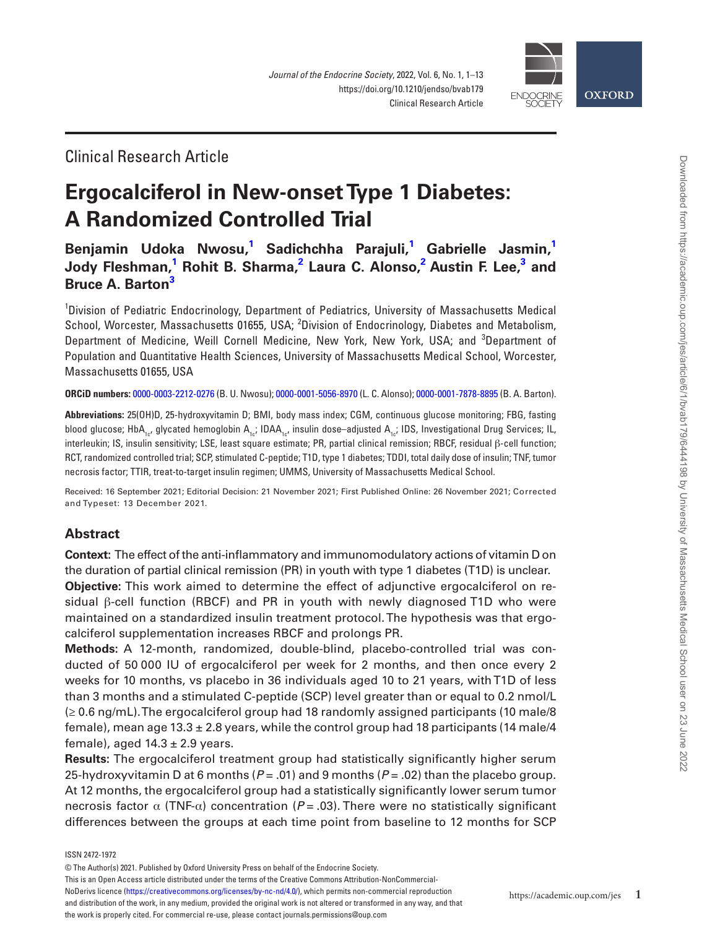

# Clinical Research Article

# **Ergocalciferol in New-onset Type 1 Diabetes: A Randomized Controlled Trial**

# **[Benjamin Udoka](https://orcid.org/0000-0003-2212-0276)  Nwosu, [1](#page-1-0) Sadichchha Parajuli, [1](#page-1-0) Gabrielle Jasmin, [1](#page-1-0) Jody Fleshman,**<sup>[1](#page-1-0)</sup> Rohit B. Sharma,<sup>[2](#page-1-1)</sup> [Laura C. Alonso](https://orcid.org/0000-0001-5056-8970),<sup>2</sup> Austin F. Lee,<sup>[3](#page-1-2)</sup> and **[Bruce A. Barton](https://orcid.org/0000-0001-7878-8895)[3](#page-1-2)**

<span id="page-1-2"></span><span id="page-1-1"></span><span id="page-1-0"></span><sup>1</sup>Division of Pediatric Endocrinology, Department of Pediatrics, University of Massachusetts Medical School, Worcester, Massachusetts 01655, USA; <sup>2</sup>Division of Endocrinology, Diabetes and Metabolism, Department of Medicine, Weill Cornell Medicine, New York, New York, USA; and <sup>3</sup>Department of Population and Quantitative Health Sciences, University of Massachusetts Medical School, Worcester, Massachusetts 01655, USA

**ORCiD numbers:** [0000-0003-2212-0276](https://orcid.org/0000-0003-2212-0276) (B. U. Nwosu); [0000-0001-5056-8970](https://orcid.org/0000-0001-5056-8970) (L. C. Alonso); [0000-0001-7878-8895](https://orcid.org/0000-0001-7878-8895) (B. A. Barton).

**Abbreviations:** 25(OH)D, 25-hydroxyvitamin D; BMI, body mass index; CGM, continuous glucose monitoring; FBG, fasting blood glucose; HbA<sub>1c</sub>, glycated hemoglobin A<sub>1ci</sub>; IDAA<sub>1ci</sub>, insulin dose–adjusted A<sub>1ci</sub>; IDS, Investigational Drug Services; IL, interleukin; IS, insulin sensitivity; LSE, least square estimate; PR, partial clinical remission; RBCF, residual β-cell function; RCT, randomized controlled trial; SCP, stimulated C-peptide; T1D, type 1 diabetes; TDDI, total daily dose of insulin; TNF, tumor necrosis factor; TTIR, treat-to-target insulin regimen; UMMS, University of Massachusetts Medical School.

Received: 16 September 2021; Editorial Decision: 21 November 2021; First Published Online: 26 November 2021; Corrected and Typeset: 13 December 2021.

# **Abstract**

**Context:** The effect of the anti-inflammatory and immunomodulatory actions of vitamin D on the duration of partial clinical remission (PR) in youth with type 1 diabetes (T1D) is unclear. **Objective:** This work aimed to determine the effect of adjunctive ergocalciferol on residual β-cell function (RBCF) and PR in youth with newly diagnosed T1D who were maintained on a standardized insulin treatment protocol. The hypothesis was that ergocalciferol supplementation increases RBCF and prolongs PR.

**Methods:** A 12-month, randomized, double-blind, placebo-controlled trial was conducted of 50 000 IU of ergocalciferol per week for 2 months, and then once every 2 weeks for 10 months, vs placebo in 36 individuals aged 10 to 21 years, with T1D of less than 3 months and a stimulated C-peptide (SCP) level greater than or equal to 0.2 nmol/L (≥ 0.6 ng/mL). The ergocalciferol group had 18 randomly assigned participants (10 male/8 female), mean age 13.3  $\pm$  2.8 years, while the control group had 18 participants (14 male/4 female), aged  $14.3 \pm 2.9$  years.

**Results:** The ergocalciferol treatment group had statistically significantly higher serum 25-hydroxyvitamin D at 6 months (*P* = .01) and 9 months (*P* = .02) than the placebo group. At 12 months, the ergocalciferol group had a statistically significantly lower serum tumor necrosis factor  $\alpha$  (TNF- $\alpha$ ) concentration ( $P = .03$ ). There were no statistically significant differences between the groups at each time point from baseline to 12 months for SCP

ISSN 2472-1972

This is an Open Access article distributed under the terms of the Creative Commons Attribution-NonCommercial-

NoDerivs licence [\(https://creativecommons.org/licenses/by-nc-nd/4.0/\)](https://creativecommons.org/licenses/by-nc-nd/4.0/), which permits non-commercial reproduction and distribution of the work, in any medium, provided the original work is not altered or transformed in any way, and that the work is properly cited. For commercial re-use, please contact journals.permissions@oup.com

<sup>©</sup> The Author(s) 2021. Published by Oxford University Press on behalf of the Endocrine Society.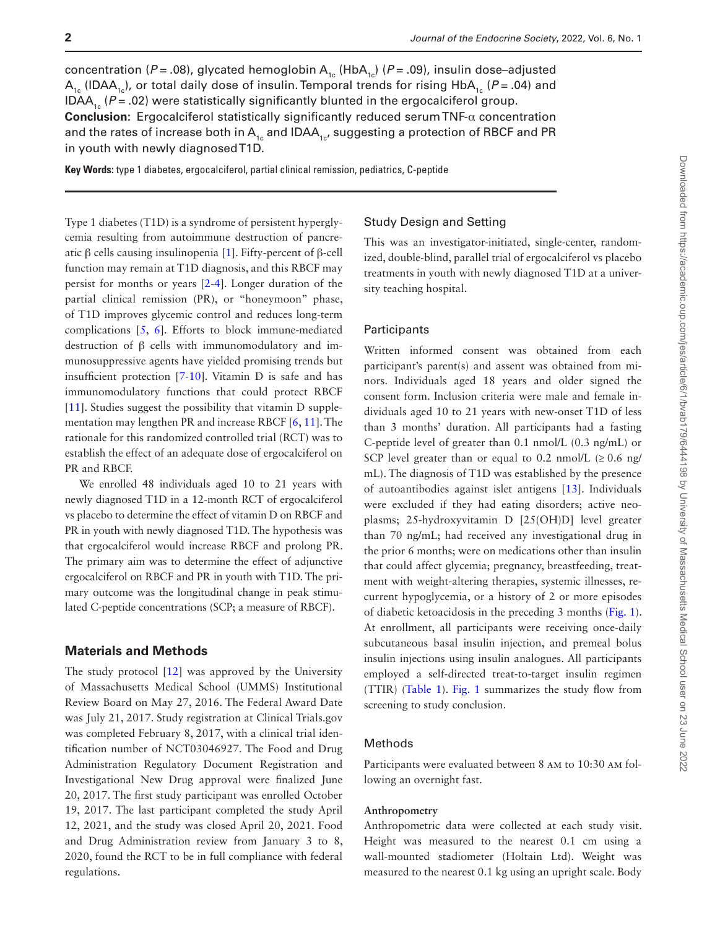concentration ( $P = .08$ ), glycated hemoglobin A<sub>1c</sub> (HbA<sub>1c</sub>) ( $P = .09$ ), insulin dose–adjusted  $A_{1c}$  (IDAA<sub>1c</sub>), or total daily dose of insulin. Temporal trends for rising HbA<sub>1c</sub> (*P* = .04) and IDAA<sub>1c</sub> ( $P = .02$ ) were statistically significantly blunted in the ergocalciferol group. **Conclusion:** Ergocalciferol statistically significantly reduced serum TNF-α concentration and the rates of increase both in  $A_{1c}$  and IDA $A_{1c}$ , suggesting a protection of RBCF and PR in youth with newly diagnosed T1D.

**Key Words:** type 1 diabetes, ergocalciferol, partial clinical remission, pediatrics, C-peptide

Type 1 diabetes (T1D) is a syndrome of persistent hyperglycemia resulting from autoimmune destruction of pancreatic β cells causing insulinopenia [\[1](#page-12-0)]. Fifty-percent of β-cell function may remain at T1D diagnosis, and this RBCF may persist for months or years [\[2](#page-12-1)-[4\]](#page-12-2). Longer duration of the partial clinical remission (PR), or "honeymoon" phase, of T1D improves glycemic control and reduces long-term complications [[5](#page-12-3), [6](#page-13-0)]. Efforts to block immune-mediated destruction of β cells with immunomodulatory and immunosuppressive agents have yielded promising trends but insufficient protection [[7](#page-13-1)[-10](#page-13-2)]. Vitamin D is safe and has immunomodulatory functions that could protect RBCF [[11](#page-13-3)]. Studies suggest the possibility that vitamin D supplementation may lengthen PR and increase RBCF [\[6,](#page-13-0) [11](#page-13-3)]. The rationale for this randomized controlled trial (RCT) was to establish the effect of an adequate dose of ergocalciferol on PR and RBCF.

We enrolled 48 individuals aged 10 to 21 years with newly diagnosed T1D in a 12-month RCT of ergocalciferol vs placebo to determine the effect of vitamin D on RBCF and PR in youth with newly diagnosed T1D. The hypothesis was that ergocalciferol would increase RBCF and prolong PR. The primary aim was to determine the effect of adjunctive ergocalciferol on RBCF and PR in youth with T1D. The primary outcome was the longitudinal change in peak stimulated C-peptide concentrations (SCP; a measure of RBCF).

## **Materials and Methods**

The study protocol [\[12\]](#page-13-4) was approved by the University of Massachusetts Medical School (UMMS) Institutional Review Board on May 27, 2016. The Federal Award Date was July 21, 2017. Study registration at Clinical Trials.gov was completed February 8, 2017, with a clinical trial identification number of NCT03046927. The Food and Drug Administration Regulatory Document Registration and Investigational New Drug approval were finalized June 20, 2017. The first study participant was enrolled October 19, 2017. The last participant completed the study April 12, 2021, and the study was closed April 20, 2021. Food and Drug Administration review from January 3 to 8, 2020, found the RCT to be in full compliance with federal regulations.

#### Study Design and Setting

This was an investigator-initiated, single-center, randomized, double-blind, parallel trial of ergocalciferol vs placebo treatments in youth with newly diagnosed T1D at a university teaching hospital.

#### **Participants**

Written informed consent was obtained from each participant's parent(s) and assent was obtained from minors. Individuals aged 18 years and older signed the consent form. Inclusion criteria were male and female individuals aged 10 to 21 years with new-onset T1D of less than 3 months' duration. All participants had a fasting C-peptide level of greater than 0.1 nmol/L (0.3 ng/mL) or SCP level greater than or equal to 0.2 nmol/L  $(\geq 0.6 \text{ ng})$ mL). The diagnosis of T1D was established by the presence of autoantibodies against islet antigens [\[13\]](#page-13-5). Individuals were excluded if they had eating disorders; active neoplasms; 25-hydroxyvitamin D [25(OH)D] level greater than 70 ng/mL; had received any investigational drug in the prior 6 months; were on medications other than insulin that could affect glycemia; pregnancy, breastfeeding, treatment with weight-altering therapies, systemic illnesses, recurrent hypoglycemia, or a history of 2 or more episodes of diabetic ketoacidosis in the preceding 3 months ([Fig. 1](#page-3-0)). At enrollment, all participants were receiving once-daily subcutaneous basal insulin injection, and premeal bolus insulin injections using insulin analogues. All participants employed a self-directed treat-to-target insulin regimen (TTIR) ([Table 1](#page-4-0)). [Fig. 1](#page-3-0) summarizes the study flow from screening to study conclusion.

## Methods

Participants were evaluated between 8 am to 10:30 am following an overnight fast.

#### **Anthropometry**

Anthropometric data were collected at each study visit. Height was measured to the nearest 0.1 cm using a wall-mounted stadiometer (Holtain Ltd). Weight was measured to the nearest 0.1 kg using an upright scale. Body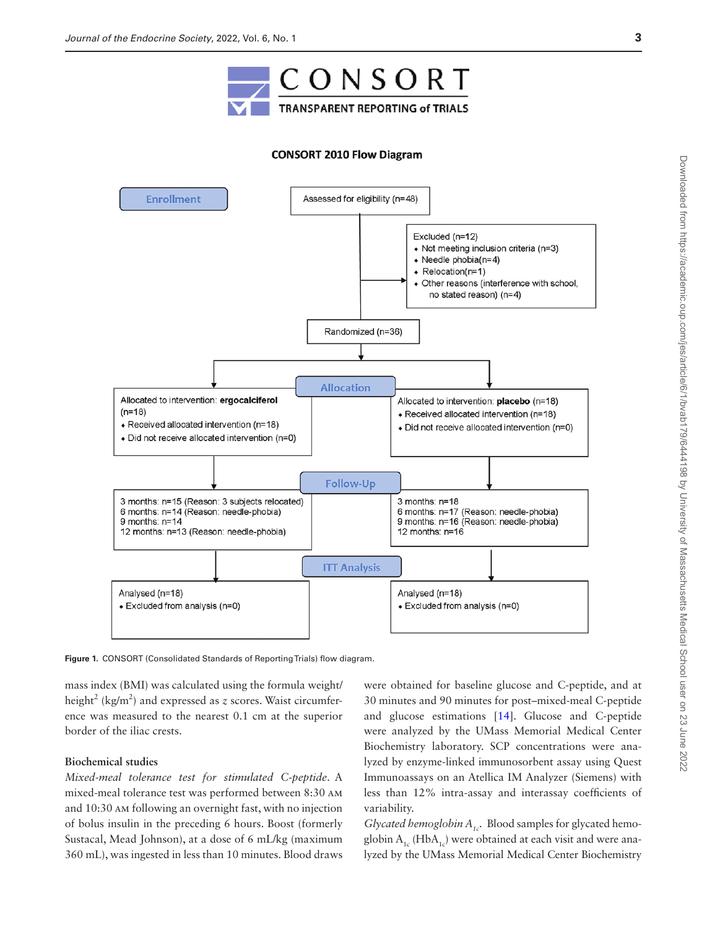

#### **CONSORT 2010 Flow Diagram**



<span id="page-3-0"></span>**Figure 1.** CONSORT (Consolidated Standards of Reporting Trials) flow diagram.

mass index (BMI) was calculated using the formula weight/ height<sup>2</sup> (kg/m<sup>2</sup>) and expressed as *z* scores. Waist circumference was measured to the nearest 0.1 cm at the superior border of the iliac crests.

#### **Biochemical studies**

*Mixed-meal tolerance test for stimulated C-peptide*. A mixed-meal tolerance test was performed between 8:30 am and 10:30 am following an overnight fast, with no injection of bolus insulin in the preceding 6 hours. Boost (formerly Sustacal, Mead Johnson), at a dose of 6 mL/kg (maximum 360 mL), was ingested in less than 10 minutes. Blood draws

were obtained for baseline glucose and C-peptide, and at 30 minutes and 90 minutes for post–mixed-meal C-peptide and glucose estimations [\[14](#page-13-6)]. Glucose and C-peptide were analyzed by the UMass Memorial Medical Center Biochemistry laboratory. SCP concentrations were analyzed by enzyme-linked immunosorbent assay using Quest Immunoassays on an Atellica IM Analyzer (Siemens) with less than 12% intra-assay and interassay coefficients of variability.

*Glycated hemoglobin A<sub>1c</sub>*. Blood samples for glycated hemoglobin  $A_{1c}$  (Hb $A_{1c}$ ) were obtained at each visit and were analyzed by the UMass Memorial Medical Center Biochemistry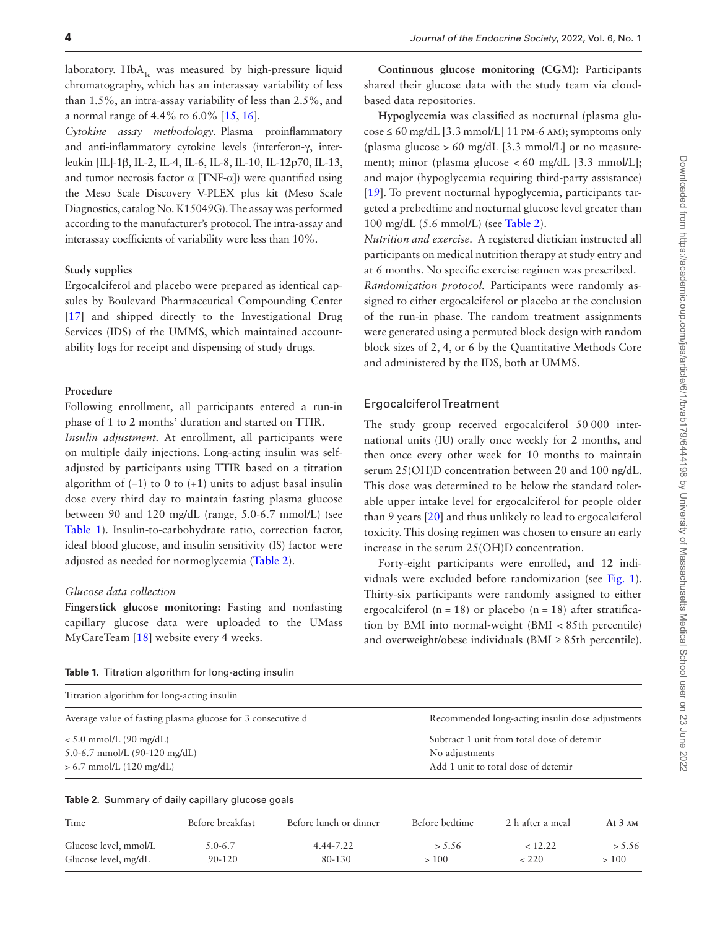laboratory.  $HbA_{1c}$  was measured by high-pressure liquid chromatography, which has an interassay variability of less than 1.5%, an intra-assay variability of less than 2.5%, and a normal range of 4.4% to 6.0% [\[15](#page-13-7), [16\]](#page-13-8).

*Cytokine assay methodology*. Plasma proinflammatory and anti-inflammatory cytokine levels (interferon-γ, interleukin [IL]-1β, IL-2, IL-4, IL-6, IL-8, IL-10, IL-12p70, IL-13, and tumor necrosis factor  $\alpha$  [TNF- $\alpha$ ]) were quantified using the Meso Scale Discovery V-PLEX plus kit (Meso Scale Diagnostics, catalog No. K15049G). The assay was performed according to the manufacturer's protocol. The intra-assay and interassay coefficients of variability were less than 10%.

#### **Study supplies**

Ergocalciferol and placebo were prepared as identical capsules by Boulevard Pharmaceutical Compounding Center [[17](#page-13-9)] and shipped directly to the Investigational Drug Services (IDS) of the UMMS, which maintained accountability logs for receipt and dispensing of study drugs.

#### **Procedure**

Following enrollment, all participants entered a run-in phase of 1 to 2 months' duration and started on TTIR. *Insulin adjustment.* At enrollment, all participants were on multiple daily injections. Long-acting insulin was selfadjusted by participants using TTIR based on a titration algorithm of  $(-1)$  to 0 to  $(+1)$  units to adjust basal insulin dose every third day to maintain fasting plasma glucose between 90 and 120 mg/dL (range, 5.0-6.7 mmol/L) (see

[Table 1\)](#page-4-0). Insulin-to-carbohydrate ratio, correction factor, ideal blood glucose, and insulin sensitivity (IS) factor were adjusted as needed for normoglycemia [\(Table 2\)](#page-4-1).

#### *Glucose data collection*

**Fingerstick glucose monitoring:** Fasting and nonfasting capillary glucose data were uploaded to the UMass MyCareTeam [[18](#page-13-10)] website every 4 weeks.

<span id="page-4-0"></span>**Table 1.** Titration algorithm for long-acting insulin

| Titration algorithm for long-acting insulin                 |                                                  |
|-------------------------------------------------------------|--------------------------------------------------|
| Average value of fasting plasma glucose for 3 consecutive d | Recommended long-acting insulin dose adjustments |
| $< 5.0$ mmol/L (90 mg/dL)                                   | Subtract 1 unit from total dose of detemir       |
| 5.0-6.7 mmol/L $(90-120 \text{ mg/dL})$                     | No adjustments                                   |
| $> 6.7$ mmol/L (120 mg/dL)                                  | Add 1 unit to total dose of detemir              |

<span id="page-4-1"></span>

| Table 2. Summary of daily capillary glucose goals |
|---------------------------------------------------|
|---------------------------------------------------|

| Time                  | Before breakfast | Before lunch or dinner | Before bedtime | 2 h after a meal | At $3 \text{ AM}$ |
|-----------------------|------------------|------------------------|----------------|------------------|-------------------|
| Glucose level, mmol/L | $5.0 - 6.7$      | 4.44-7.22              | > 5.56         | < 12.22          | > 5.56            |
| Glucose level, mg/dL  | $90 - 120$       | 80-130                 | >100           | < 220            | >100              |

**Continuous glucose monitoring (CGM):** Participants shared their glucose data with the study team via cloudbased data repositories.

**Hypoglycemia** was classified as nocturnal (plasma glu- $\cos\epsilon \leq 60$  mg/dL [3.3 mmol/L] 11 pm-6 AM); symptoms only (plasma glucose  $> 60$  mg/dL [3.3 mmol/L] or no measurement); minor (plasma glucose < 60 mg/dL [3.3 mmol/L]; and major (hypoglycemia requiring third-party assistance) [[19](#page-13-11)]. To prevent nocturnal hypoglycemia, participants targeted a prebedtime and nocturnal glucose level greater than 100 mg/dL (5.6 mmol/L) (see [Table 2](#page-4-1)).

*Nutrition and exercise.* A registered dietician instructed all participants on medical nutrition therapy at study entry and at 6 months. No specific exercise regimen was prescribed. *Randomization protocol.* Participants were randomly assigned to either ergocalciferol or placebo at the conclusion of the run-in phase. The random treatment assignments were generated using a permuted block design with random block sizes of 2, 4, or 6 by the Quantitative Methods Core and administered by the IDS, both at UMMS.

#### Ergocalciferol Treatment

The study group received ergocalciferol 50 000 international units (IU) orally once weekly for 2 months, and then once every other week for 10 months to maintain serum 25(OH)D concentration between 20 and 100 ng/dL. This dose was determined to be below the standard tolerable upper intake level for ergocalciferol for people older than 9 years [\[20\]](#page-13-12) and thus unlikely to lead to ergocalciferol toxicity. This dosing regimen was chosen to ensure an early increase in the serum 25(OH)D concentration.

Forty-eight participants were enrolled, and 12 individuals were excluded before randomization (see [Fig. 1](#page-3-0)). Thirty-six participants were randomly assigned to either ergocalciferol  $(n = 18)$  or placebo  $(n = 18)$  after stratification by BMI into normal-weight (BMI < 85th percentile) and overweight/obese individuals (BMI  $\geq$  85th percentile).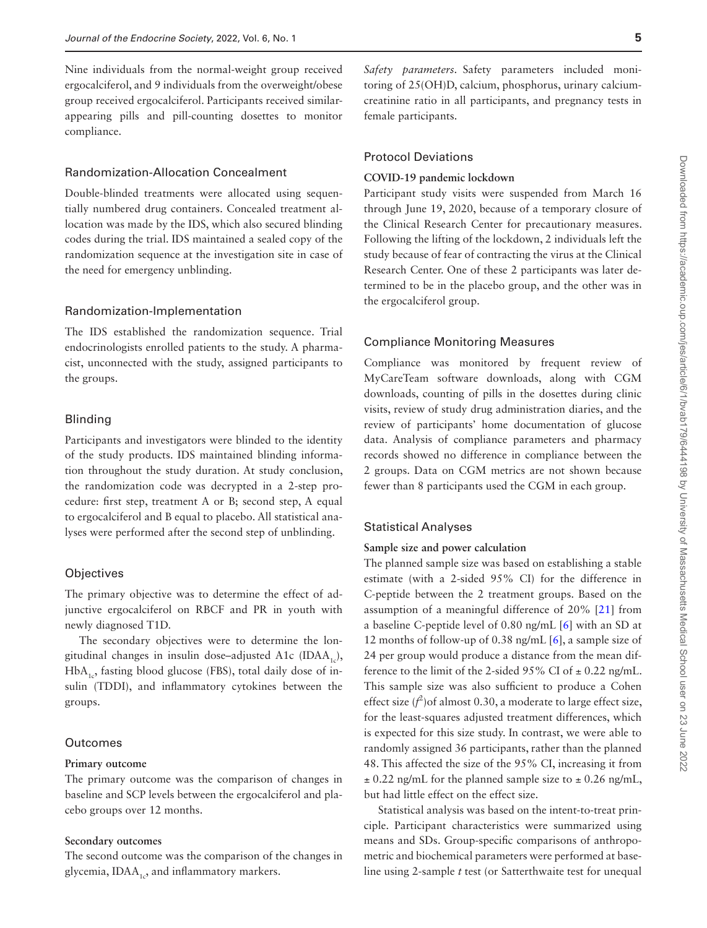Nine individuals from the normal-weight group received ergocalciferol, and 9 individuals from the overweight/obese group received ergocalciferol. Participants received similarappearing pills and pill-counting dosettes to monitor compliance.

## Randomization-Allocation Concealment

Double-blinded treatments were allocated using sequentially numbered drug containers. Concealed treatment allocation was made by the IDS, which also secured blinding codes during the trial. IDS maintained a sealed copy of the randomization sequence at the investigation site in case of the need for emergency unblinding.

#### Randomization-Implementation

The IDS established the randomization sequence. Trial endocrinologists enrolled patients to the study. A pharmacist, unconnected with the study, assigned participants to the groups.

#### Blinding

Participants and investigators were blinded to the identity of the study products. IDS maintained blinding information throughout the study duration. At study conclusion, the randomization code was decrypted in a 2-step procedure: first step, treatment A or B; second step, A equal to ergocalciferol and B equal to placebo. All statistical analyses were performed after the second step of unblinding.

#### **Objectives**

The primary objective was to determine the effect of adjunctive ergocalciferol on RBCF and PR in youth with newly diagnosed T1D.

The secondary objectives were to determine the longitudinal changes in insulin dose–adjusted A1c (IDAA<sub>1c</sub>),  $HbA_{1c}$ , fasting blood glucose (FBS), total daily dose of insulin (TDDI), and inflammatory cytokines between the groups.

#### **Outcomes**

#### **Primary outcome**

The primary outcome was the comparison of changes in baseline and SCP levels between the ergocalciferol and placebo groups over 12 months.

#### **Secondary outcomes**

The second outcome was the comparison of the changes in glycemia,  $IDAA_{1c}$ , and inflammatory markers.

*Safety parameters.* Safety parameters included monitoring of 25(OH)D, calcium, phosphorus, urinary calciumcreatinine ratio in all participants, and pregnancy tests in female participants.

#### Protocol Deviations

#### **COVID-19 pandemic lockdown**

Participant study visits were suspended from March 16 through June 19, 2020, because of a temporary closure of the Clinical Research Center for precautionary measures. Following the lifting of the lockdown, 2 individuals left the study because of fear of contracting the virus at the Clinical Research Center. One of these 2 participants was later determined to be in the placebo group, and the other was in the ergocalciferol group.

#### Compliance Monitoring Measures

Compliance was monitored by frequent review of MyCareTeam software downloads, along with CGM downloads, counting of pills in the dosettes during clinic visits, review of study drug administration diaries, and the review of participants' home documentation of glucose data. Analysis of compliance parameters and pharmacy records showed no difference in compliance between the 2 groups. Data on CGM metrics are not shown because fewer than 8 participants used the CGM in each group.

#### Statistical Analyses

#### **Sample size and power calculation**

The planned sample size was based on establishing a stable estimate (with a 2-sided 95% CI) for the difference in C-peptide between the 2 treatment groups. Based on the assumption of a meaningful difference of 20% [\[21\]](#page-13-13) from a baseline C-peptide level of 0.80 ng/mL [\[6](#page-13-0)] with an SD at 12 months of follow-up of 0.38 ng/mL [[6\]](#page-13-0), a sample size of 24 per group would produce a distance from the mean difference to the limit of the 2-sided 95% CI of  $\pm$  0.22 ng/mL. This sample size was also sufficient to produce a Cohen effect size  $(f^2)$  of almost 0.30, a moderate to large effect size, for the least-squares adjusted treatment differences, which is expected for this size study. In contrast, we were able to randomly assigned 36 participants, rather than the planned 48. This affected the size of the 95% CI, increasing it from  $\pm$  0.22 ng/mL for the planned sample size to  $\pm$  0.26 ng/mL, but had little effect on the effect size.

Statistical analysis was based on the intent-to-treat principle. Participant characteristics were summarized using means and SDs. Group-specific comparisons of anthropometric and biochemical parameters were performed at baseline using 2-sample *t* test (or Satterthwaite test for unequal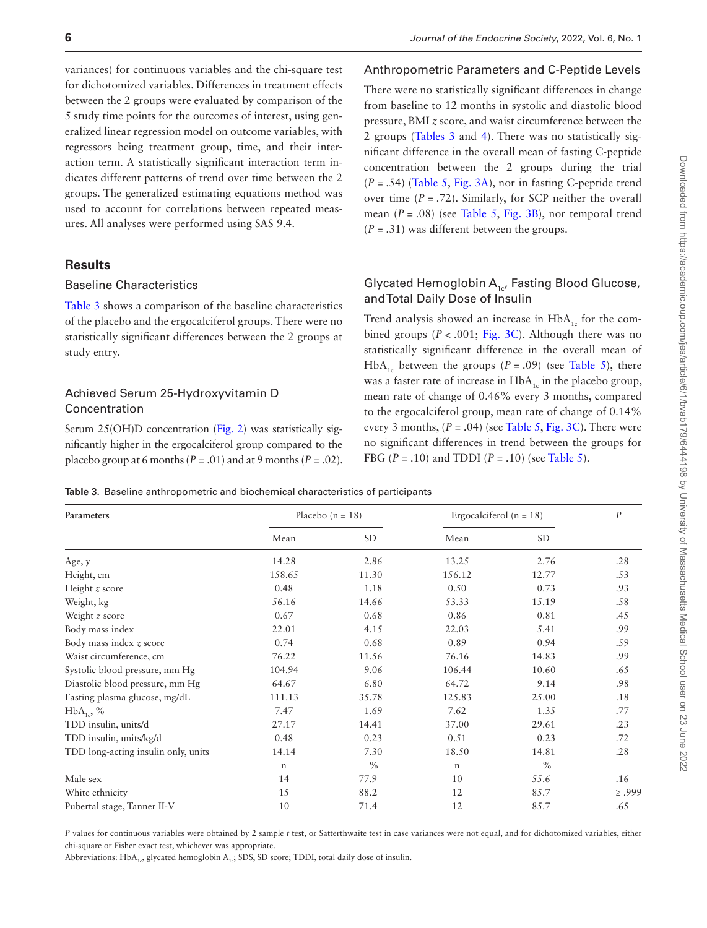variances) for continuous variables and the chi-square test for dichotomized variables. Differences in treatment effects between the 2 groups were evaluated by comparison of the 5 study time points for the outcomes of interest, using generalized linear regression model on outcome variables, with regressors being treatment group, time, and their interaction term. A statistically significant interaction term indicates different patterns of trend over time between the 2 groups. The generalized estimating equations method was used to account for correlations between repeated measures. All analyses were performed using SAS 9.4.

## **Results**

#### Baseline Characteristics

[Table 3](#page-6-0) shows a comparison of the baseline characteristics of the placebo and the ergocalciferol groups. There were no statistically significant differences between the 2 groups at study entry.

# Achieved Serum 25-Hydroxyvitamin D Concentration

Serum 25(OH)D concentration ([Fig. 2\)](#page-7-0) was statistically significantly higher in the ergocalciferol group compared to the placebo group at 6 months ( $P = .01$ ) and at 9 months ( $P = .02$ ).

#### Anthropometric Parameters and C-Peptide Levels

There were no statistically significant differences in change from baseline to 12 months in systolic and diastolic blood pressure, BMI *z* score, and waist circumference between the 2 groups [\(Tables 3](#page-6-0) and [4](#page-8-0)). There was no statistically significant difference in the overall mean of fasting C-peptide concentration between the 2 groups during the trial (*P* = .54) [\(Table 5](#page-9-0), [Fig. 3A\)](#page-10-0), nor in fasting C-peptide trend over time  $(P = .72)$ . Similarly, for SCP neither the overall mean (*P* = .08) (see [Table 5,](#page-9-0) [Fig. 3B\)](#page-10-0), nor temporal trend  $(P = .31)$  was different between the groups.

# Glycated Hemoglobin  $A_{1c}$ , Fasting Blood Glucose, and Total Daily Dose of Insulin

Trend analysis showed an increase in  $HbA_{1c}$  for the combined groups  $(P < .001; Fig. 3C)$  $(P < .001; Fig. 3C)$ . Although there was no statistically significant difference in the overall mean of HbA<sub>1c</sub> between the groups ( $P = .09$ ) (see [Table 5\)](#page-9-0), there was a faster rate of increase in  $HbA_{1c}$  in the placebo group, mean rate of change of 0.46% every 3 months, compared to the ergocalciferol group, mean rate of change of 0.14% every 3 months,  $(P = .04)$  (see [Table 5](#page-9-0), [Fig. 3C\)](#page-10-0). There were no significant differences in trend between the groups for FBG ( $P = .10$ ) and TDDI ( $P = .10$ ) (see [Table 5](#page-9-0)).

<span id="page-6-0"></span>**Table 3.** Baseline anthropometric and biochemical characteristics of participants

| Parameters                          |             | Placebo $(n = 18)$ | Ergocalciferol ( $n = 18$ ) | $\boldsymbol{P}$ |             |
|-------------------------------------|-------------|--------------------|-----------------------------|------------------|-------------|
|                                     | Mean        | <b>SD</b>          | Mean                        | SD.              |             |
| Age, y                              | 14.28       | 2.86               | 13.25                       | 2.76             | .28         |
| Height, cm                          | 158.65      | 11.30              | 156.12                      | 12.77            | .53         |
| Height $z$ score                    | 0.48        | 1.18               | 0.50                        | 0.73             | .93         |
| Weight, kg                          | 56.16       | 14.66              | 53.33                       | 15.19            | .58         |
| Weight $z$ score                    | 0.67        | 0.68               | 0.86                        | 0.81             | .45         |
| Body mass index                     | 22.01       | 4.15               | 22.03                       | 5.41             | .99         |
| Body mass index z score             | 0.74        | 0.68               | 0.89                        | 0.94             | .59         |
| Waist circumference, cm             | 76.22       | 11.56              | 76.16                       | 14.83            | .99         |
| Systolic blood pressure, mm Hg      | 104.94      | 9.06               | 106.44                      | 10.60            | .65         |
| Diastolic blood pressure, mm Hg     | 64.67       | 6.80               | 64.72                       | 9.14             | .98         |
| Fasting plasma glucose, mg/dL       | 111.13      | 35.78              | 125.83                      | 25.00            | .18         |
| $HbA_{1c}$ , %                      | 7.47        | 1.69               | 7.62                        | 1.35             | .77         |
| TDD insulin, units/d                | 27.17       | 14.41              | 37.00                       | 29.61            | .23         |
| TDD insulin, units/kg/d             | 0.48        | 0.23               | 0.51                        | 0.23             | .72         |
| TDD long-acting insulin only, units | 14.14       | 7.30               | 18.50                       | 14.81            | .28         |
|                                     | $\mathbf n$ | $\%$               | $\mathbf n$                 | $\%$             |             |
| Male sex                            | 14          | 77.9               | 10                          | 55.6             | .16         |
| White ethnicity                     | 15          | 88.2               | 12                          | 85.7             | $\geq .999$ |
| Pubertal stage, Tanner II-V         | 10          | 71.4               | 12                          | 85.7             | .65         |

*P* values for continuous variables were obtained by 2 sample *t* test, or Satterthwaite test in case variances were not equal, and for dichotomized variables, either chi-square or Fisher exact test, whichever was appropriate.

Abbreviations: HbA<sub>1c</sub>, glycated hemoglobin A<sub>1c</sub>; SDS, SD score; TDDI, total daily dose of insulin.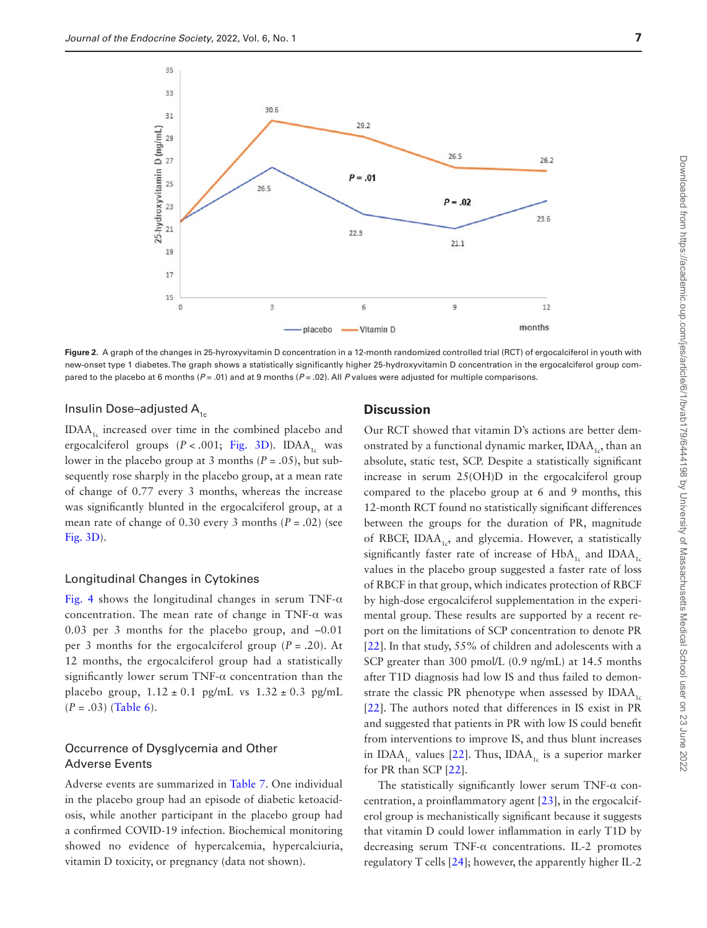

**Figure 2.** A graph of the changes in 25-hyroxyvitamin D concentration in a 12-month randomized controlled trial (RCT) of ergocalciferol in youth with new-onset type 1 diabetes. The graph shows a statistically significantly higher 25-hydroxyvitamin D concentration in the ergocalciferol group compared to the placebo at 6 months ( $P = .01$ ) and at 9 months ( $P = .02$ ). All *P* values were adjusted for multiple comparisons.

#### Insulin Dose–adjusted  $A_{1c}$

 $IDAA<sub>1c</sub>$  increased over time in the combined placebo and ergocalciferol groups  $(P < .001;$  [Fig. 3D\)](#page-10-0). IDAA<sub>1c</sub> was lower in the placebo group at 3 months  $(P = .05)$ , but subsequently rose sharply in the placebo group, at a mean rate of change of 0.77 every 3 months, whereas the increase was significantly blunted in the ergocalciferol group, at a mean rate of change of  $0.30$  every 3 months  $(P = .02)$  (see [Fig. 3D](#page-10-0)).

#### Longitudinal Changes in Cytokines

[Fig. 4](#page-10-1) shows the longitudinal changes in serum TNF- $\alpha$ concentration. The mean rate of change in TNF- $\alpha$  was 0.03 per 3 months for the placebo group, and –0.01 per 3 months for the ergocalciferol group  $(P = .20)$ . At 12 months, the ergocalciferol group had a statistically significantly lower serum TNF- $\alpha$  concentration than the placebo group,  $1.12 \pm 0.1$  pg/mL vs  $1.32 \pm 0.3$  pg/mL (*P* = .03) [\(Table 6\)](#page-11-0).

# Occurrence of Dysglycemia and Other Adverse Events

Adverse events are summarized in [Table 7.](#page-12-4) One individual in the placebo group had an episode of diabetic ketoacidosis, while another participant in the placebo group had a confirmed COVID-19 infection. Biochemical monitoring showed no evidence of hypercalcemia, hypercalciuria, vitamin D toxicity, or pregnancy (data not shown).

### <span id="page-7-0"></span>**Discussion**

Our RCT showed that vitamin D's actions are better demonstrated by a functional dynamic marker,  $IDAA_{1,2}$ , than an absolute, static test, SCP. Despite a statistically significant increase in serum 25(OH)D in the ergocalciferol group compared to the placebo group at 6 and 9 months, this 12-month RCT found no statistically significant differences between the groups for the duration of PR, magnitude of RBCF, IDAA<sub>1c</sub>, and glycemia. However, a statistically significantly faster rate of increase of  $HbA_1$  and  $IDAA_1$ values in the placebo group suggested a faster rate of loss of RBCF in that group, which indicates protection of RBCF by high-dose ergocalciferol supplementation in the experimental group. These results are supported by a recent report on the limitations of SCP concentration to denote PR [[22](#page-13-14)]. In that study, 55% of children and adolescents with a SCP greater than 300 pmol/L (0.9 ng/mL) at 14.5 months after T1D diagnosis had low IS and thus failed to demonstrate the classic PR phenotype when assessed by  $IDAA_1$ [[22](#page-13-14)]. The authors noted that differences in IS exist in PR and suggested that patients in PR with low IS could benefit from interventions to improve IS, and thus blunt increases in IDAA<sub>1c</sub> values [\[22](#page-13-14)]. Thus, IDAA<sub>1c</sub> is a superior marker for PR than SCP [\[22](#page-13-14)].

The statistically significantly lower serum TNF- $\alpha$  concentration, a proinflammatory agent [\[23](#page-13-15)], in the ergocalciferol group is mechanistically significant because it suggests that vitamin D could lower inflammation in early T1D by decreasing serum TNF-α concentrations. IL-2 promotes regulatory T cells [[24\]](#page-13-16); however, the apparently higher IL-2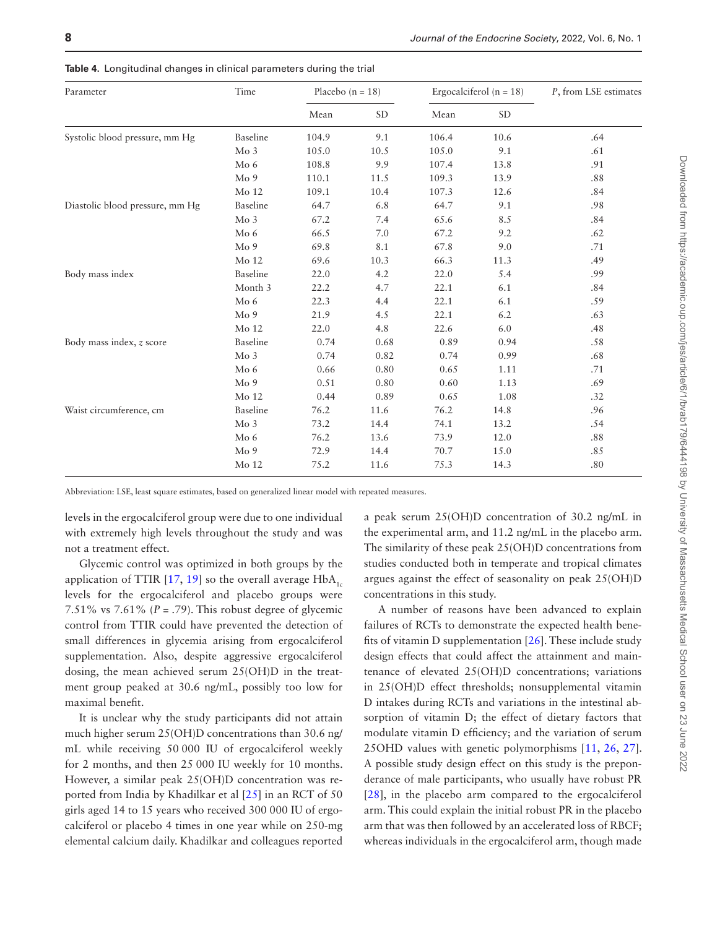| Parameter                       | Time            | Placebo $(n = 18)$ |           |       | Ergocalciferol ( $n = 18$ ) | P, from LSE estimates |  |
|---------------------------------|-----------------|--------------------|-----------|-------|-----------------------------|-----------------------|--|
|                                 |                 | Mean               | <b>SD</b> | Mean  | $\operatorname{SD}$         |                       |  |
| Systolic blood pressure, mm Hg  | Baseline        | 104.9              | 9.1       | 106.4 | 10.6                        | .64                   |  |
|                                 | Mo3             | 105.0              | 10.5      | 105.0 | 9.1                         | .61                   |  |
|                                 | Mo <sub>6</sub> | 108.8              | 9.9       | 107.4 | 13.8                        | .91                   |  |
|                                 | Mo 9            | 110.1              | 11.5      | 109.3 | 13.9                        | .88                   |  |
|                                 | Mo 12           | 109.1              | 10.4      | 107.3 | 12.6                        | .84                   |  |
| Diastolic blood pressure, mm Hg | Baseline        | 64.7               | 6.8       | 64.7  | 9.1                         | .98                   |  |
|                                 | Mo <sub>3</sub> | 67.2               | 7.4       | 65.6  | 8.5                         | .84                   |  |
|                                 | Mo <sub>6</sub> | 66.5               | 7.0       | 67.2  | 9.2                         | .62                   |  |
|                                 | Mo 9            | 69.8               | 8.1       | 67.8  | 9.0                         | .71                   |  |
|                                 | Mo 12           | 69.6               | 10.3      | 66.3  | 11.3                        | .49                   |  |
| Body mass index                 | Baseline        | 22.0               | 4.2       | 22.0  | 5.4                         | .99                   |  |
|                                 | Month 3         | 22.2               | 4.7       | 22.1  | 6.1                         | .84                   |  |
|                                 | Mo <sub>6</sub> | 22.3               | 4.4       | 22.1  | 6.1                         | .59                   |  |
|                                 | Mo 9            | 21.9               | 4.5       | 22.1  | 6.2                         | .63                   |  |
|                                 | Mo 12           | 22.0               | 4.8       | 22.6  | 6.0                         | .48                   |  |
| Body mass index, z score        | Baseline        | 0.74               | 0.68      | 0.89  | 0.94                        | $.58\,$               |  |
|                                 | Mo <sub>3</sub> | 0.74               | 0.82      | 0.74  | 0.99                        | .68                   |  |
|                                 | Mo <sub>6</sub> | 0.66               | 0.80      | 0.65  | 1.11                        | .71                   |  |
|                                 | Mo 9            | 0.51               | 0.80      | 0.60  | 1.13                        | .69                   |  |
|                                 | Mo 12           | 0.44               | 0.89      | 0.65  | 1.08                        | .32                   |  |
| Waist circumference, cm         | Baseline        | 76.2               | 11.6      | 76.2  | 14.8                        | .96                   |  |
|                                 | Mo <sub>3</sub> | 73.2               | 14.4      | 74.1  | 13.2                        | .54                   |  |
|                                 | Mo <sub>6</sub> | 76.2               | 13.6      | 73.9  | 12.0                        | .88                   |  |
|                                 | Mo 9            | 72.9               | 14.4      | 70.7  | 15.0                        | .85                   |  |
|                                 | Mo 12           | 75.2               | 11.6      | 75.3  | 14.3                        | .80                   |  |
|                                 |                 |                    |           |       |                             |                       |  |

<span id="page-8-0"></span>**Table 4.** Longitudinal changes in clinical parameters during the trial

Abbreviation: LSE, least square estimates, based on generalized linear model with repeated measures.

levels in the ergocalciferol group were due to one individual with extremely high levels throughout the study and was not a treatment effect.

Glycemic control was optimized in both groups by the application of TTIR  $[17, 19]$  $[17, 19]$  $[17, 19]$  $[17, 19]$  so the overall average HbA<sub>1c</sub> levels for the ergocalciferol and placebo groups were 7.51% vs 7.61%  $(P = .79)$ . This robust degree of glycemic control from TTIR could have prevented the detection of small differences in glycemia arising from ergocalciferol supplementation. Also, despite aggressive ergocalciferol dosing, the mean achieved serum 25(OH)D in the treatment group peaked at 30.6 ng/mL, possibly too low for maximal benefit.

It is unclear why the study participants did not attain much higher serum 25(OH)D concentrations than 30.6 ng/ mL while receiving 50 000 IU of ergocalciferol weekly for 2 months, and then 25 000 IU weekly for 10 months. However, a similar peak 25(OH)D concentration was reported from India by Khadilkar et al [\[25](#page-13-17)] in an RCT of 50 girls aged 14 to 15 years who received 300 000 IU of ergocalciferol or placebo 4 times in one year while on 250-mg elemental calcium daily. Khadilkar and colleagues reported

a peak serum 25(OH)D concentration of 30.2 ng/mL in the experimental arm, and 11.2 ng/mL in the placebo arm. The similarity of these peak 25(OH)D concentrations from studies conducted both in temperate and tropical climates argues against the effect of seasonality on peak 25(OH)D concentrations in this study.

A number of reasons have been advanced to explain failures of RCTs to demonstrate the expected health benefits of vitamin D supplementation [\[26](#page-13-18)]. These include study design effects that could affect the attainment and maintenance of elevated 25(OH)D concentrations; variations in 25(OH)D effect thresholds; nonsupplemental vitamin D intakes during RCTs and variations in the intestinal absorption of vitamin D; the effect of dietary factors that modulate vitamin D efficiency; and the variation of serum 25OHD values with genetic polymorphisms [[11](#page-13-3), [26](#page-13-18), [27](#page-13-19)]. A possible study design effect on this study is the preponderance of male participants, who usually have robust PR [[28](#page-13-20)], in the placebo arm compared to the ergocalciferol arm. This could explain the initial robust PR in the placebo arm that was then followed by an accelerated loss of RBCF; whereas individuals in the ergocalciferol arm, though made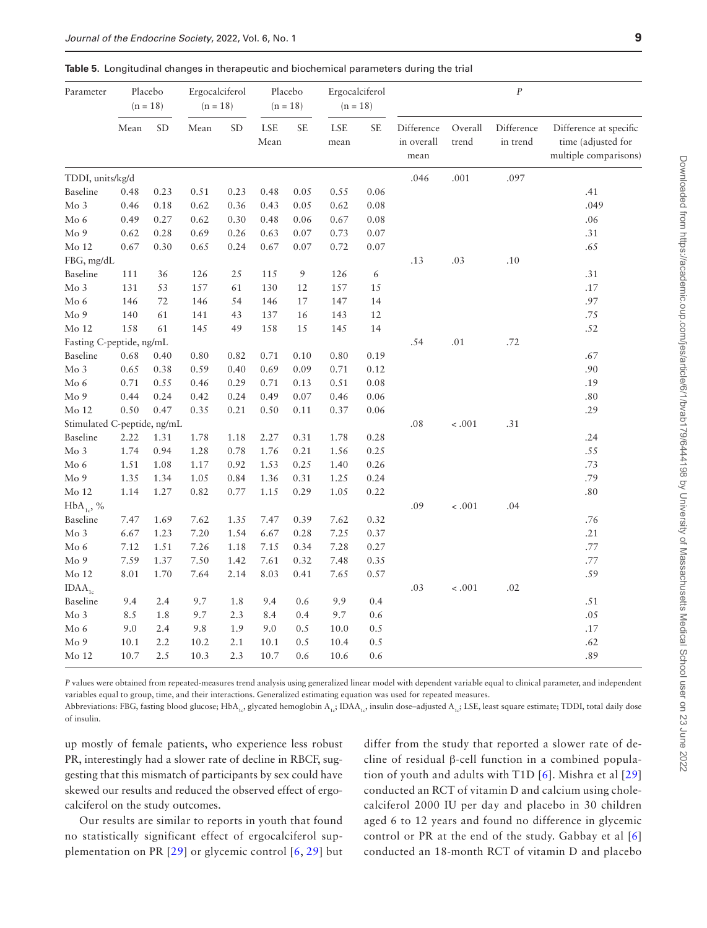<span id="page-9-0"></span>

|  |  |  |  |  |  | <b>Table 5.</b> Longitudinal changes in therapeutic and biochemical parameters during the trial |
|--|--|--|--|--|--|-------------------------------------------------------------------------------------------------|
|--|--|--|--|--|--|-------------------------------------------------------------------------------------------------|

| <b>SD</b><br>LSE<br>$\ensuremath{\mathsf{SE}}$<br>Difference<br>Mean<br><b>SD</b><br>Mean<br><b>SE</b><br>LSE<br>Overall<br>Difference at specific<br>Difference<br>in overall<br>time (adjusted for<br>Mean<br>trend<br>in trend<br>mean<br>multiple comparisons)<br>mean<br>TDDI, units/kg/d<br>.097<br>.046<br>.001<br>0.06<br>Baseline<br>0.48<br>0.23<br>0.51<br>0.23<br>0.48<br>0.05<br>0.55<br>.41<br>.049<br>Mo 3<br>0.46<br>0.62<br>0.36<br>0.05<br>0.62<br>0.08<br>0.18<br>0.43<br>Mo 6<br>0.30<br>0.08<br>.06<br>0.49<br>0.27<br>0.62<br>0.48<br>0.06<br>0.67<br>Mo 9<br>0.28<br>0.69<br>0.26<br>0.07<br>0.07<br>.31<br>0.62<br>0.63<br>0.73<br>Mo 12<br>0.67<br>0.30<br>0.24<br>0.67<br>0.07<br>0.72<br>0.07<br>.65<br>0.65<br>FBG, mg/dL<br>.13<br>.03<br>.10<br>$\boldsymbol{9}$<br>Baseline<br>111<br>36<br>126<br>25<br>115<br>126<br>6<br>.31<br>Mo 3<br>131<br>53<br>157<br>157<br>.17<br>61<br>130<br>12<br>15<br>Mo 6<br>147<br>14<br>.97<br>146<br>72<br>146<br>54<br>146<br>17<br>Mo 9<br>43<br>.75<br>140<br>61<br>141<br>137<br>16<br>143<br>12<br>Mo 12<br>158<br>61<br>145<br>49<br>158<br>15<br>145<br>14<br>.52<br>Fasting C-peptide, ng/mL<br>.54<br>.01<br>.72<br>Baseline<br>0.68<br>0.40<br>0.80<br>0.82<br>0.71<br>0.10<br>0.80<br>0.19<br>.67<br>Mo 3<br>0.71<br>.90<br>0.65<br>0.38<br>0.59<br>0.40<br>0.69<br>0.09<br>0.12<br>Mo 6<br>0.71<br>0.29<br>0.08<br>.19<br>0.55<br>0.46<br>0.71<br>0.13<br>0.51<br>Mo <sub>9</sub><br>0.44<br>0.24<br>0.42<br>0.24<br>0.49<br>0.07<br>0.46<br>0.06<br>.80<br>Mo 12<br>0.50<br>0.47<br>0.35<br>0.21<br>0.50<br>0.37<br>0.06<br>.29<br>0.11<br>Stimulated C-peptide, ng/mL<br>.08<br>$-.001$<br>.31<br>Baseline<br>2.22<br>0.28<br>.24<br>1.31<br>1.78<br>1.18<br>2.27<br>0.31<br>1.78<br>$Mo$ 3<br>.55<br>1.74<br>0.94<br>1.28<br>0.78<br>1.76<br>0.21<br>1.56<br>0.25<br>0.92<br>0.26<br>.73<br>Mo 6<br>1.51<br>1.08<br>1.17<br>1.53<br>0.25<br>1.40<br>Mo 9<br>1.05<br>0.84<br>0.24<br>.79<br>1.35<br>1.34<br>1.36<br>0.31<br>1.25<br>0.22<br>Mo 12<br>1.14<br>1.27<br>0.82<br>0.77<br>1.15<br>0.29<br>1.05<br>.80<br>$-.001$<br>.04<br>$HbA_{1c}$ , %<br>.09<br>Baseline<br>7.47<br>1.69<br>7.62<br>1.35<br>7.47<br>0.39<br>7.62<br>0.32<br>.76<br>$Mo$ 3<br>6.67<br>1.23<br>7.20<br>1.54<br>0.28<br>7.25<br>0.37<br>.21<br>6.67<br>Mo 6<br>7.12<br>7.26<br>7.15<br>0.34<br>7.28<br>0.27<br>.77<br>1.51<br>1.18<br>Mo <sub>9</sub><br>7.59<br>1.37<br>7.50<br>1.42<br>7.61<br>0.32<br>7.48<br>0.35<br>.77<br>Mo 12<br>0.57<br>.59<br>8.01<br>1.70<br>7.64<br>2.14<br>8.03<br>0.41<br>7.65<br>$< .001$<br>$IDAA_{1c}$<br>.03<br>.02<br>Baseline<br>9.4<br>2.4<br>9.7<br>1.8<br>0.6<br>9.9<br>0.4<br>9.4<br>.51<br>Mo 3<br>1.8<br>9.7<br>9.7<br>0.6<br>.05<br>8.5<br>2.3<br>8.4<br>0.4<br>Mo 6<br>9.0<br>2.4<br>9.8<br>1.9<br>9.0<br>0.5<br>10.0<br>0.5<br>.17<br>Mo 9<br>0.5<br>10.1<br>2.2<br>10.2<br>2.1<br>10.1<br>10.4<br>0.5<br>.62<br>2.5<br>2.3<br>.89<br>$Mo$ 12<br>10.7<br>10.3<br>10.7<br>0.6<br>10.6<br>0.6 | Parameter | Placebo<br>$(n = 18)$ |  | Ergocalciferol<br>$(n = 18)$ | Placebo<br>$(n = 18)$ | Ergocalciferol<br>$(n = 18)$ |  | $\cal P$ |  |
|-------------------------------------------------------------------------------------------------------------------------------------------------------------------------------------------------------------------------------------------------------------------------------------------------------------------------------------------------------------------------------------------------------------------------------------------------------------------------------------------------------------------------------------------------------------------------------------------------------------------------------------------------------------------------------------------------------------------------------------------------------------------------------------------------------------------------------------------------------------------------------------------------------------------------------------------------------------------------------------------------------------------------------------------------------------------------------------------------------------------------------------------------------------------------------------------------------------------------------------------------------------------------------------------------------------------------------------------------------------------------------------------------------------------------------------------------------------------------------------------------------------------------------------------------------------------------------------------------------------------------------------------------------------------------------------------------------------------------------------------------------------------------------------------------------------------------------------------------------------------------------------------------------------------------------------------------------------------------------------------------------------------------------------------------------------------------------------------------------------------------------------------------------------------------------------------------------------------------------------------------------------------------------------------------------------------------------------------------------------------------------------------------------------------------------------------------------------------------------------------------------------------------------------------------------------------------------------------------------------------------------------------------------------------------------------------------------------------------------------------------------------------------------------------------------------------------------------------------------------------------------------------------------------------------------------------------------------------------------------------------------|-----------|-----------------------|--|------------------------------|-----------------------|------------------------------|--|----------|--|
|                                                                                                                                                                                                                                                                                                                                                                                                                                                                                                                                                                                                                                                                                                                                                                                                                                                                                                                                                                                                                                                                                                                                                                                                                                                                                                                                                                                                                                                                                                                                                                                                                                                                                                                                                                                                                                                                                                                                                                                                                                                                                                                                                                                                                                                                                                                                                                                                                                                                                                                                                                                                                                                                                                                                                                                                                                                                                                                                                                                                       |           |                       |  |                              |                       |                              |  |          |  |
|                                                                                                                                                                                                                                                                                                                                                                                                                                                                                                                                                                                                                                                                                                                                                                                                                                                                                                                                                                                                                                                                                                                                                                                                                                                                                                                                                                                                                                                                                                                                                                                                                                                                                                                                                                                                                                                                                                                                                                                                                                                                                                                                                                                                                                                                                                                                                                                                                                                                                                                                                                                                                                                                                                                                                                                                                                                                                                                                                                                                       |           |                       |  |                              |                       |                              |  |          |  |
|                                                                                                                                                                                                                                                                                                                                                                                                                                                                                                                                                                                                                                                                                                                                                                                                                                                                                                                                                                                                                                                                                                                                                                                                                                                                                                                                                                                                                                                                                                                                                                                                                                                                                                                                                                                                                                                                                                                                                                                                                                                                                                                                                                                                                                                                                                                                                                                                                                                                                                                                                                                                                                                                                                                                                                                                                                                                                                                                                                                                       |           |                       |  |                              |                       |                              |  |          |  |
|                                                                                                                                                                                                                                                                                                                                                                                                                                                                                                                                                                                                                                                                                                                                                                                                                                                                                                                                                                                                                                                                                                                                                                                                                                                                                                                                                                                                                                                                                                                                                                                                                                                                                                                                                                                                                                                                                                                                                                                                                                                                                                                                                                                                                                                                                                                                                                                                                                                                                                                                                                                                                                                                                                                                                                                                                                                                                                                                                                                                       |           |                       |  |                              |                       |                              |  |          |  |
|                                                                                                                                                                                                                                                                                                                                                                                                                                                                                                                                                                                                                                                                                                                                                                                                                                                                                                                                                                                                                                                                                                                                                                                                                                                                                                                                                                                                                                                                                                                                                                                                                                                                                                                                                                                                                                                                                                                                                                                                                                                                                                                                                                                                                                                                                                                                                                                                                                                                                                                                                                                                                                                                                                                                                                                                                                                                                                                                                                                                       |           |                       |  |                              |                       |                              |  |          |  |
|                                                                                                                                                                                                                                                                                                                                                                                                                                                                                                                                                                                                                                                                                                                                                                                                                                                                                                                                                                                                                                                                                                                                                                                                                                                                                                                                                                                                                                                                                                                                                                                                                                                                                                                                                                                                                                                                                                                                                                                                                                                                                                                                                                                                                                                                                                                                                                                                                                                                                                                                                                                                                                                                                                                                                                                                                                                                                                                                                                                                       |           |                       |  |                              |                       |                              |  |          |  |
|                                                                                                                                                                                                                                                                                                                                                                                                                                                                                                                                                                                                                                                                                                                                                                                                                                                                                                                                                                                                                                                                                                                                                                                                                                                                                                                                                                                                                                                                                                                                                                                                                                                                                                                                                                                                                                                                                                                                                                                                                                                                                                                                                                                                                                                                                                                                                                                                                                                                                                                                                                                                                                                                                                                                                                                                                                                                                                                                                                                                       |           |                       |  |                              |                       |                              |  |          |  |
|                                                                                                                                                                                                                                                                                                                                                                                                                                                                                                                                                                                                                                                                                                                                                                                                                                                                                                                                                                                                                                                                                                                                                                                                                                                                                                                                                                                                                                                                                                                                                                                                                                                                                                                                                                                                                                                                                                                                                                                                                                                                                                                                                                                                                                                                                                                                                                                                                                                                                                                                                                                                                                                                                                                                                                                                                                                                                                                                                                                                       |           |                       |  |                              |                       |                              |  |          |  |
|                                                                                                                                                                                                                                                                                                                                                                                                                                                                                                                                                                                                                                                                                                                                                                                                                                                                                                                                                                                                                                                                                                                                                                                                                                                                                                                                                                                                                                                                                                                                                                                                                                                                                                                                                                                                                                                                                                                                                                                                                                                                                                                                                                                                                                                                                                                                                                                                                                                                                                                                                                                                                                                                                                                                                                                                                                                                                                                                                                                                       |           |                       |  |                              |                       |                              |  |          |  |
|                                                                                                                                                                                                                                                                                                                                                                                                                                                                                                                                                                                                                                                                                                                                                                                                                                                                                                                                                                                                                                                                                                                                                                                                                                                                                                                                                                                                                                                                                                                                                                                                                                                                                                                                                                                                                                                                                                                                                                                                                                                                                                                                                                                                                                                                                                                                                                                                                                                                                                                                                                                                                                                                                                                                                                                                                                                                                                                                                                                                       |           |                       |  |                              |                       |                              |  |          |  |
|                                                                                                                                                                                                                                                                                                                                                                                                                                                                                                                                                                                                                                                                                                                                                                                                                                                                                                                                                                                                                                                                                                                                                                                                                                                                                                                                                                                                                                                                                                                                                                                                                                                                                                                                                                                                                                                                                                                                                                                                                                                                                                                                                                                                                                                                                                                                                                                                                                                                                                                                                                                                                                                                                                                                                                                                                                                                                                                                                                                                       |           |                       |  |                              |                       |                              |  |          |  |
|                                                                                                                                                                                                                                                                                                                                                                                                                                                                                                                                                                                                                                                                                                                                                                                                                                                                                                                                                                                                                                                                                                                                                                                                                                                                                                                                                                                                                                                                                                                                                                                                                                                                                                                                                                                                                                                                                                                                                                                                                                                                                                                                                                                                                                                                                                                                                                                                                                                                                                                                                                                                                                                                                                                                                                                                                                                                                                                                                                                                       |           |                       |  |                              |                       |                              |  |          |  |
|                                                                                                                                                                                                                                                                                                                                                                                                                                                                                                                                                                                                                                                                                                                                                                                                                                                                                                                                                                                                                                                                                                                                                                                                                                                                                                                                                                                                                                                                                                                                                                                                                                                                                                                                                                                                                                                                                                                                                                                                                                                                                                                                                                                                                                                                                                                                                                                                                                                                                                                                                                                                                                                                                                                                                                                                                                                                                                                                                                                                       |           |                       |  |                              |                       |                              |  |          |  |
|                                                                                                                                                                                                                                                                                                                                                                                                                                                                                                                                                                                                                                                                                                                                                                                                                                                                                                                                                                                                                                                                                                                                                                                                                                                                                                                                                                                                                                                                                                                                                                                                                                                                                                                                                                                                                                                                                                                                                                                                                                                                                                                                                                                                                                                                                                                                                                                                                                                                                                                                                                                                                                                                                                                                                                                                                                                                                                                                                                                                       |           |                       |  |                              |                       |                              |  |          |  |
|                                                                                                                                                                                                                                                                                                                                                                                                                                                                                                                                                                                                                                                                                                                                                                                                                                                                                                                                                                                                                                                                                                                                                                                                                                                                                                                                                                                                                                                                                                                                                                                                                                                                                                                                                                                                                                                                                                                                                                                                                                                                                                                                                                                                                                                                                                                                                                                                                                                                                                                                                                                                                                                                                                                                                                                                                                                                                                                                                                                                       |           |                       |  |                              |                       |                              |  |          |  |
|                                                                                                                                                                                                                                                                                                                                                                                                                                                                                                                                                                                                                                                                                                                                                                                                                                                                                                                                                                                                                                                                                                                                                                                                                                                                                                                                                                                                                                                                                                                                                                                                                                                                                                                                                                                                                                                                                                                                                                                                                                                                                                                                                                                                                                                                                                                                                                                                                                                                                                                                                                                                                                                                                                                                                                                                                                                                                                                                                                                                       |           |                       |  |                              |                       |                              |  |          |  |
|                                                                                                                                                                                                                                                                                                                                                                                                                                                                                                                                                                                                                                                                                                                                                                                                                                                                                                                                                                                                                                                                                                                                                                                                                                                                                                                                                                                                                                                                                                                                                                                                                                                                                                                                                                                                                                                                                                                                                                                                                                                                                                                                                                                                                                                                                                                                                                                                                                                                                                                                                                                                                                                                                                                                                                                                                                                                                                                                                                                                       |           |                       |  |                              |                       |                              |  |          |  |
|                                                                                                                                                                                                                                                                                                                                                                                                                                                                                                                                                                                                                                                                                                                                                                                                                                                                                                                                                                                                                                                                                                                                                                                                                                                                                                                                                                                                                                                                                                                                                                                                                                                                                                                                                                                                                                                                                                                                                                                                                                                                                                                                                                                                                                                                                                                                                                                                                                                                                                                                                                                                                                                                                                                                                                                                                                                                                                                                                                                                       |           |                       |  |                              |                       |                              |  |          |  |
|                                                                                                                                                                                                                                                                                                                                                                                                                                                                                                                                                                                                                                                                                                                                                                                                                                                                                                                                                                                                                                                                                                                                                                                                                                                                                                                                                                                                                                                                                                                                                                                                                                                                                                                                                                                                                                                                                                                                                                                                                                                                                                                                                                                                                                                                                                                                                                                                                                                                                                                                                                                                                                                                                                                                                                                                                                                                                                                                                                                                       |           |                       |  |                              |                       |                              |  |          |  |
|                                                                                                                                                                                                                                                                                                                                                                                                                                                                                                                                                                                                                                                                                                                                                                                                                                                                                                                                                                                                                                                                                                                                                                                                                                                                                                                                                                                                                                                                                                                                                                                                                                                                                                                                                                                                                                                                                                                                                                                                                                                                                                                                                                                                                                                                                                                                                                                                                                                                                                                                                                                                                                                                                                                                                                                                                                                                                                                                                                                                       |           |                       |  |                              |                       |                              |  |          |  |
|                                                                                                                                                                                                                                                                                                                                                                                                                                                                                                                                                                                                                                                                                                                                                                                                                                                                                                                                                                                                                                                                                                                                                                                                                                                                                                                                                                                                                                                                                                                                                                                                                                                                                                                                                                                                                                                                                                                                                                                                                                                                                                                                                                                                                                                                                                                                                                                                                                                                                                                                                                                                                                                                                                                                                                                                                                                                                                                                                                                                       |           |                       |  |                              |                       |                              |  |          |  |
|                                                                                                                                                                                                                                                                                                                                                                                                                                                                                                                                                                                                                                                                                                                                                                                                                                                                                                                                                                                                                                                                                                                                                                                                                                                                                                                                                                                                                                                                                                                                                                                                                                                                                                                                                                                                                                                                                                                                                                                                                                                                                                                                                                                                                                                                                                                                                                                                                                                                                                                                                                                                                                                                                                                                                                                                                                                                                                                                                                                                       |           |                       |  |                              |                       |                              |  |          |  |
|                                                                                                                                                                                                                                                                                                                                                                                                                                                                                                                                                                                                                                                                                                                                                                                                                                                                                                                                                                                                                                                                                                                                                                                                                                                                                                                                                                                                                                                                                                                                                                                                                                                                                                                                                                                                                                                                                                                                                                                                                                                                                                                                                                                                                                                                                                                                                                                                                                                                                                                                                                                                                                                                                                                                                                                                                                                                                                                                                                                                       |           |                       |  |                              |                       |                              |  |          |  |
|                                                                                                                                                                                                                                                                                                                                                                                                                                                                                                                                                                                                                                                                                                                                                                                                                                                                                                                                                                                                                                                                                                                                                                                                                                                                                                                                                                                                                                                                                                                                                                                                                                                                                                                                                                                                                                                                                                                                                                                                                                                                                                                                                                                                                                                                                                                                                                                                                                                                                                                                                                                                                                                                                                                                                                                                                                                                                                                                                                                                       |           |                       |  |                              |                       |                              |  |          |  |
|                                                                                                                                                                                                                                                                                                                                                                                                                                                                                                                                                                                                                                                                                                                                                                                                                                                                                                                                                                                                                                                                                                                                                                                                                                                                                                                                                                                                                                                                                                                                                                                                                                                                                                                                                                                                                                                                                                                                                                                                                                                                                                                                                                                                                                                                                                                                                                                                                                                                                                                                                                                                                                                                                                                                                                                                                                                                                                                                                                                                       |           |                       |  |                              |                       |                              |  |          |  |
|                                                                                                                                                                                                                                                                                                                                                                                                                                                                                                                                                                                                                                                                                                                                                                                                                                                                                                                                                                                                                                                                                                                                                                                                                                                                                                                                                                                                                                                                                                                                                                                                                                                                                                                                                                                                                                                                                                                                                                                                                                                                                                                                                                                                                                                                                                                                                                                                                                                                                                                                                                                                                                                                                                                                                                                                                                                                                                                                                                                                       |           |                       |  |                              |                       |                              |  |          |  |
|                                                                                                                                                                                                                                                                                                                                                                                                                                                                                                                                                                                                                                                                                                                                                                                                                                                                                                                                                                                                                                                                                                                                                                                                                                                                                                                                                                                                                                                                                                                                                                                                                                                                                                                                                                                                                                                                                                                                                                                                                                                                                                                                                                                                                                                                                                                                                                                                                                                                                                                                                                                                                                                                                                                                                                                                                                                                                                                                                                                                       |           |                       |  |                              |                       |                              |  |          |  |
|                                                                                                                                                                                                                                                                                                                                                                                                                                                                                                                                                                                                                                                                                                                                                                                                                                                                                                                                                                                                                                                                                                                                                                                                                                                                                                                                                                                                                                                                                                                                                                                                                                                                                                                                                                                                                                                                                                                                                                                                                                                                                                                                                                                                                                                                                                                                                                                                                                                                                                                                                                                                                                                                                                                                                                                                                                                                                                                                                                                                       |           |                       |  |                              |                       |                              |  |          |  |
|                                                                                                                                                                                                                                                                                                                                                                                                                                                                                                                                                                                                                                                                                                                                                                                                                                                                                                                                                                                                                                                                                                                                                                                                                                                                                                                                                                                                                                                                                                                                                                                                                                                                                                                                                                                                                                                                                                                                                                                                                                                                                                                                                                                                                                                                                                                                                                                                                                                                                                                                                                                                                                                                                                                                                                                                                                                                                                                                                                                                       |           |                       |  |                              |                       |                              |  |          |  |
|                                                                                                                                                                                                                                                                                                                                                                                                                                                                                                                                                                                                                                                                                                                                                                                                                                                                                                                                                                                                                                                                                                                                                                                                                                                                                                                                                                                                                                                                                                                                                                                                                                                                                                                                                                                                                                                                                                                                                                                                                                                                                                                                                                                                                                                                                                                                                                                                                                                                                                                                                                                                                                                                                                                                                                                                                                                                                                                                                                                                       |           |                       |  |                              |                       |                              |  |          |  |
|                                                                                                                                                                                                                                                                                                                                                                                                                                                                                                                                                                                                                                                                                                                                                                                                                                                                                                                                                                                                                                                                                                                                                                                                                                                                                                                                                                                                                                                                                                                                                                                                                                                                                                                                                                                                                                                                                                                                                                                                                                                                                                                                                                                                                                                                                                                                                                                                                                                                                                                                                                                                                                                                                                                                                                                                                                                                                                                                                                                                       |           |                       |  |                              |                       |                              |  |          |  |
|                                                                                                                                                                                                                                                                                                                                                                                                                                                                                                                                                                                                                                                                                                                                                                                                                                                                                                                                                                                                                                                                                                                                                                                                                                                                                                                                                                                                                                                                                                                                                                                                                                                                                                                                                                                                                                                                                                                                                                                                                                                                                                                                                                                                                                                                                                                                                                                                                                                                                                                                                                                                                                                                                                                                                                                                                                                                                                                                                                                                       |           |                       |  |                              |                       |                              |  |          |  |
|                                                                                                                                                                                                                                                                                                                                                                                                                                                                                                                                                                                                                                                                                                                                                                                                                                                                                                                                                                                                                                                                                                                                                                                                                                                                                                                                                                                                                                                                                                                                                                                                                                                                                                                                                                                                                                                                                                                                                                                                                                                                                                                                                                                                                                                                                                                                                                                                                                                                                                                                                                                                                                                                                                                                                                                                                                                                                                                                                                                                       |           |                       |  |                              |                       |                              |  |          |  |
|                                                                                                                                                                                                                                                                                                                                                                                                                                                                                                                                                                                                                                                                                                                                                                                                                                                                                                                                                                                                                                                                                                                                                                                                                                                                                                                                                                                                                                                                                                                                                                                                                                                                                                                                                                                                                                                                                                                                                                                                                                                                                                                                                                                                                                                                                                                                                                                                                                                                                                                                                                                                                                                                                                                                                                                                                                                                                                                                                                                                       |           |                       |  |                              |                       |                              |  |          |  |
|                                                                                                                                                                                                                                                                                                                                                                                                                                                                                                                                                                                                                                                                                                                                                                                                                                                                                                                                                                                                                                                                                                                                                                                                                                                                                                                                                                                                                                                                                                                                                                                                                                                                                                                                                                                                                                                                                                                                                                                                                                                                                                                                                                                                                                                                                                                                                                                                                                                                                                                                                                                                                                                                                                                                                                                                                                                                                                                                                                                                       |           |                       |  |                              |                       |                              |  |          |  |
|                                                                                                                                                                                                                                                                                                                                                                                                                                                                                                                                                                                                                                                                                                                                                                                                                                                                                                                                                                                                                                                                                                                                                                                                                                                                                                                                                                                                                                                                                                                                                                                                                                                                                                                                                                                                                                                                                                                                                                                                                                                                                                                                                                                                                                                                                                                                                                                                                                                                                                                                                                                                                                                                                                                                                                                                                                                                                                                                                                                                       |           |                       |  |                              |                       |                              |  |          |  |
|                                                                                                                                                                                                                                                                                                                                                                                                                                                                                                                                                                                                                                                                                                                                                                                                                                                                                                                                                                                                                                                                                                                                                                                                                                                                                                                                                                                                                                                                                                                                                                                                                                                                                                                                                                                                                                                                                                                                                                                                                                                                                                                                                                                                                                                                                                                                                                                                                                                                                                                                                                                                                                                                                                                                                                                                                                                                                                                                                                                                       |           |                       |  |                              |                       |                              |  |          |  |

*P* values were obtained from repeated-measures trend analysis using generalized linear model with dependent variable equal to clinical parameter, and independent variables equal to group, time, and their interactions. Generalized estimating equation was used for repeated measures.

Abbreviations: FBG, fasting blood glucose; HbA<sub>1c</sub>, glycated hemoglobin A<sub>1c</sub>; IDAA<sub>1c</sub>, insulin dose–adjusted A<sub>1c</sub>; LSE, least square estimate; TDDI, total daily dose of insulin.

up mostly of female patients, who experience less robust PR, interestingly had a slower rate of decline in RBCF, suggesting that this mismatch of participants by sex could have skewed our results and reduced the observed effect of ergocalciferol on the study outcomes.

Our results are similar to reports in youth that found no statistically significant effect of ergocalciferol supplementation on PR [[29\]](#page-13-21) or glycemic control [[6](#page-13-0), [29\]](#page-13-21) but

differ from the study that reported a slower rate of decline of residual β-cell function in a combined population of youth and adults with T1D [[6\]](#page-13-0). Mishra et al [[29\]](#page-13-21) conducted an RCT of vitamin D and calcium using cholecalciferol 2000 IU per day and placebo in 30 children aged 6 to 12 years and found no difference in glycemic control or PR at the end of the study. Gabbay et al [[6\]](#page-13-0) conducted an 18-month RCT of vitamin D and placebo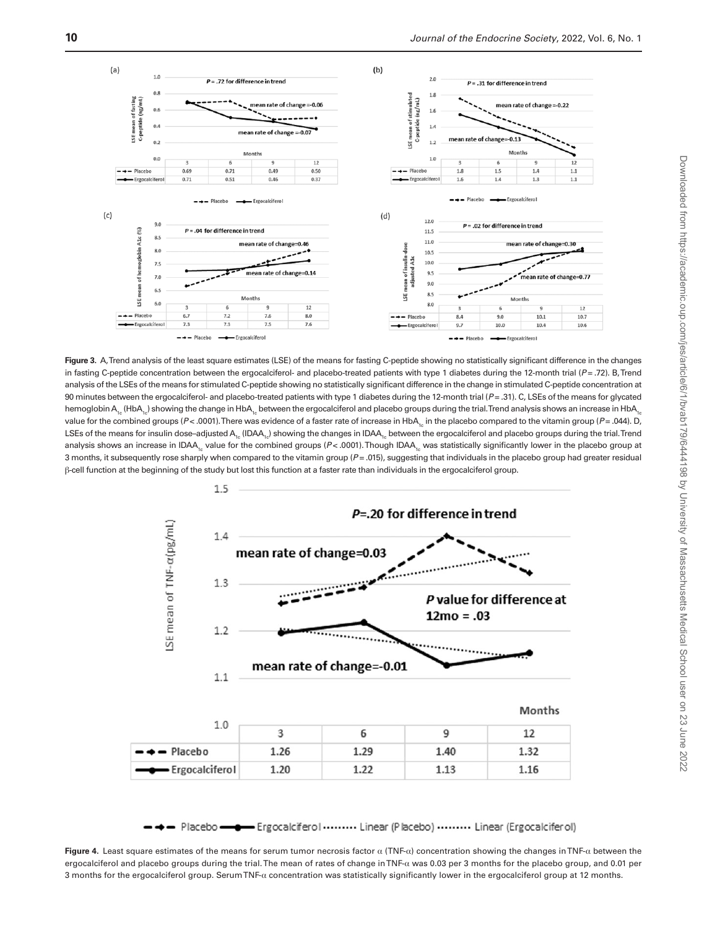

<span id="page-10-0"></span>**Figure 3.** A, Trend analysis of the least square estimates (LSE) of the means for fasting C-peptide showing no statistically significant difference in the changes in fasting C-peptide concentration between the ergocalciferol- and placebo-treated patients with type 1 diabetes during the 12-month trial (*P* = .72). B, Trend analysis of the LSEs of the means for stimulated C-peptide showing no statistically significant difference in the change in stimulated C-peptide concentration at 90 minutes between the ergocalciferol- and placebo-treated patients with type 1 diabetes during the 12-month trial ( $P = .31$ ). C, LSEs of the means for glycated hemoglobin  $A_1$ <sub>c</sub> (HbA<sub>1c</sub>) showing the change in HbA<sub>1c</sub> between the ergocalciferol and placebo groups during the trial. Trend analysis shows an increase in HbA<sub>1c</sub> value for the combined groups ( $P < 0.001$ ). There was evidence of a faster rate of increase in HbA<sub>1c</sub> in the placebo compared to the vitamin group ( $P = 0.04$ ). D, LSEs of the means for insulin dose–adjusted A<sub>1c</sub> (IDAA<sub>1c</sub>) showing the changes in IDAA<sub>1c</sub> between the ergocalciferol and placebo groups during the trial. Trend analysis shows an increase in IDAA<sub>1c</sub> value for the combined groups (P<.0001). Though IDAA<sub>1c</sub> was statistically significantly lower in the placebo group at 3 months, it subsequently rose sharply when compared to the vitamin group ( $P = .015$ ), suggesting that individuals in the placebo group had greater residual β-cell function at the beginning of the study but lost this function at a faster rate than individuals in the ergocalciferol group.



<span id="page-10-1"></span>- Placebo - Ergocalciferol ........ Linear (Placebo) ......... Linear (Ergocalciferol)

**Figure 4.** Least square estimates of the means for serum tumor necrosis factor α (TNF-α) concentration showing the changes in TNF-α between the ergocalciferol and placebo groups during the trial. The mean of rates of change in TNF-α was 0.03 per 3 months for the placebo group, and 0.01 per 3 months for the ergocalciferol group. Serum TNF-α concentration was statistically significantly lower in the ergocalciferol group at 12 months.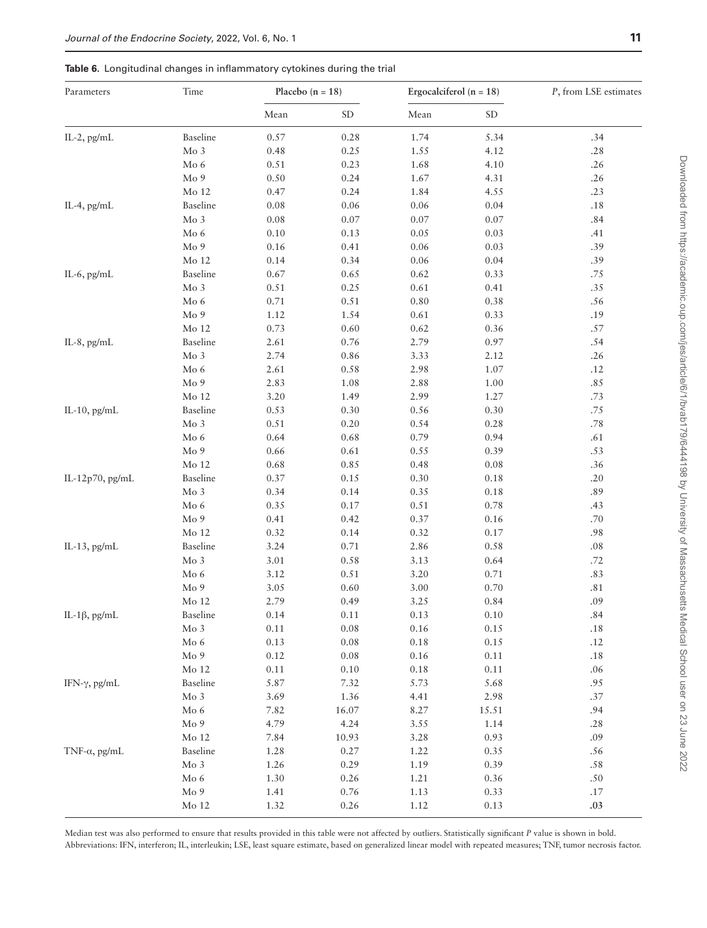#### <span id="page-11-0"></span>**Table 6.** Longitudinal changes in inflammatory cytokines during the trial

| Parameters            | Time                    | Placebo $(n = 18)$ |                     | Ergocalciferol (n = $18$ ) |                     | P, from LSE estimates |
|-----------------------|-------------------------|--------------------|---------------------|----------------------------|---------------------|-----------------------|
|                       |                         | Mean               | $\operatorname{SD}$ | Mean                       | $\operatorname{SD}$ |                       |
| IL-2, pg/mL           | Baseline                | $0.57\,$           | 0.28                | 1.74                       | 5.34                | .34                   |
|                       | Mo <sub>3</sub>         | 0.48               | 0.25                | 1.55                       | 4.12                | .28                   |
|                       | Mo 6                    | 0.51               | 0.23                | 1.68                       | 4.10                | .26                   |
|                       | $\rm Mo$ 9              | 0.50               | 0.24                | 1.67                       | 4.31                | .26                   |
|                       | Mo 12                   | 0.47               | 0.24                | 1.84                       | 4.55                | .23                   |
| IL-4, $pg/mL$         | Baseline                | 0.08               | $0.06\,$            | $0.06\,$                   | 0.04                | .18                   |
|                       | Mo <sub>3</sub>         | $0.08\,$           | $0.07\,$            | $0.07\,$                   | $0.07\,$            | .84                   |
|                       | Mo $6$                  | $0.10\,$           | 0.13                | 0.05                       | 0.03                | .41                   |
|                       | Mo 9                    | 0.16               | 0.41                | $0.06\,$                   | 0.03                | .39                   |
|                       | $Mo$ 12                 | 0.14               | 0.34                | $0.06\,$                   | 0.04                | .39                   |
| IL-6, pg/mL           | Baseline                | 0.67               | 0.65                | 0.62                       | 0.33                | $.75\,$               |
| IL-8, pg/mL           | $\rm Mo~3$              | $0.51\,$           | 0.25                | $0.61\,$                   | 0.41                | .35                   |
|                       | Mo $6\,$                | 0.71               | $0.51\,$            | 0.80                       | 0.38                | $.56$                 |
|                       | $\rm Mo$ 9              | 1.12               | 1.54                | 0.61                       | 0.33                | .19                   |
|                       | Mo 12                   | 0.73               | 0.60                | 0.62                       | 0.36                | .57                   |
|                       | Baseline                | 2.61               | $0.76\,$            | 2.79                       | 0.97                | .54                   |
|                       | $\rm Mo~3$              | 2.74               | $0.86\,$            | 3.33                       | 2.12                | .26                   |
|                       | Mo <sub>6</sub>         | 2.61               | 0.58                | 2.98                       | $1.07\,$            | .12                   |
|                       | Mo <sub>9</sub>         | 2.83               | 1.08                | 2.88                       | $1.00\,$            | .85                   |
|                       | Mo 12                   | 3.20               | 1.49                | 2.99                       | 1.27                | .73                   |
| IL-10, pg/mL          | Baseline                | 0.53               | 0.30                | 0.56                       | 0.30                | .75                   |
|                       |                         |                    |                     | 0.54                       | 0.28                |                       |
|                       | Mo 3                    | 0.51               | 0.20<br>$0.68\,$    | 0.79                       | 0.94                | .78                   |
|                       | Mo <sub>6</sub><br>Mo 9 | 0.64<br>0.66       | 0.61                | 0.55                       | 0.39                | .61<br>.53            |
|                       |                         |                    |                     | 0.48                       | $0.08\,$            | .36                   |
|                       | Mo 12                   | 0.68               | 0.85                |                            |                     |                       |
| IL-12p70, pg/mL       | Baseline                | 0.37               | 0.15                | 0.30                       | $0.18\,$            | .20                   |
|                       | Mo 3                    | 0.34               | 0.14                | 0.35                       | 0.18                | .89                   |
|                       | Mo $6\,$                | 0.35               | $0.17\,$            | 0.51                       | 0.78                | .43                   |
|                       | $\rm Mo$ 9              | 0.41               | 0.42                | 0.37                       | $0.16\,$            | .70                   |
|                       | Mo 12                   | 0.32               | 0.14                | 0.32                       | $0.17\,$            | .98                   |
| IL-13, $pg/mL$        | Baseline                | 3.24               | 0.71                | 2.86                       | $0.58\,$            | .08                   |
|                       | Mo 3                    | 3.01               | 0.58                | 3.13                       | 0.64                | .72                   |
|                       | Mo <sub>6</sub>         | 3.12               | 0.51                | 3.20                       | 0.71                | .83                   |
|                       | $\rm Mo$ 9              | 3.05               | 0.60                | 3.00                       | 0.70                | $.81\,$               |
|                       | Mo 12                   | 2.79               | 0.49                | 3.25                       | 0.84                | .09                   |
| IL-1 $\beta$ , pg/mL  | Baseline                | 0.14               | $0.11\,$            | 0.13                       | $0.10\,$            | $.84\,$               |
|                       | Mo <sub>3</sub>         | 0.11               | 0.08                | 0.16                       | 0.15                | .18                   |
|                       | Mo <sub>6</sub>         | 0.13               | $0.08\,$            | 0.18                       | 0.15                | .12                   |
|                       | Mo 9                    | 0.12               | 0.08                | 0.16                       | 0.11                | $.18$                 |
|                       | Mo 12                   | 0.11               | 0.10                | 0.18                       | 0.11                | .06                   |
| IFN-γ, pg/mL          | Baseline                | 5.87               | 7.32                | 5.73                       | 5.68                | .95                   |
|                       | Mo <sub>3</sub>         | 3.69               | 1.36                | 4.41                       | 2.98                | .37                   |
|                       | Mo <sub>6</sub>         | 7.82               | 16.07               | 8.27                       | 15.51               | .94                   |
|                       | Mo 9                    | 4.79               | 4.24                | 3.55                       | 1.14                | .28                   |
|                       | Mo 12                   | 7.84               | 10.93               | 3.28                       | 0.93                | .09                   |
| TNF- $\alpha$ , pg/mL | Baseline                | 1.28               | 0.27                | 1.22                       | 0.35                | .56                   |
|                       | Mo <sub>3</sub>         | 1.26               | 0.29                | 1.19                       | 0.39                | .58                   |
|                       | Mo <sub>6</sub>         | 1.30               | 0.26                | 1.21                       | 0.36                | .50                   |
|                       | Mo 9                    | 1.41               | 0.76                | 1.13                       | 0.33                | .17                   |
|                       | Mo 12                   | 1.32               | 0.26                | 1.12                       | 0.13                | .03                   |

Median test was also performed to ensure that results provided in this table were not affected by outliers. Statistically significant *P* value is shown in bold. Abbreviations: IFN, interferon; IL, interleukin; LSE, least square estimate, based on generalized linear model with repeated measures; TNF, tumor necrosis factor.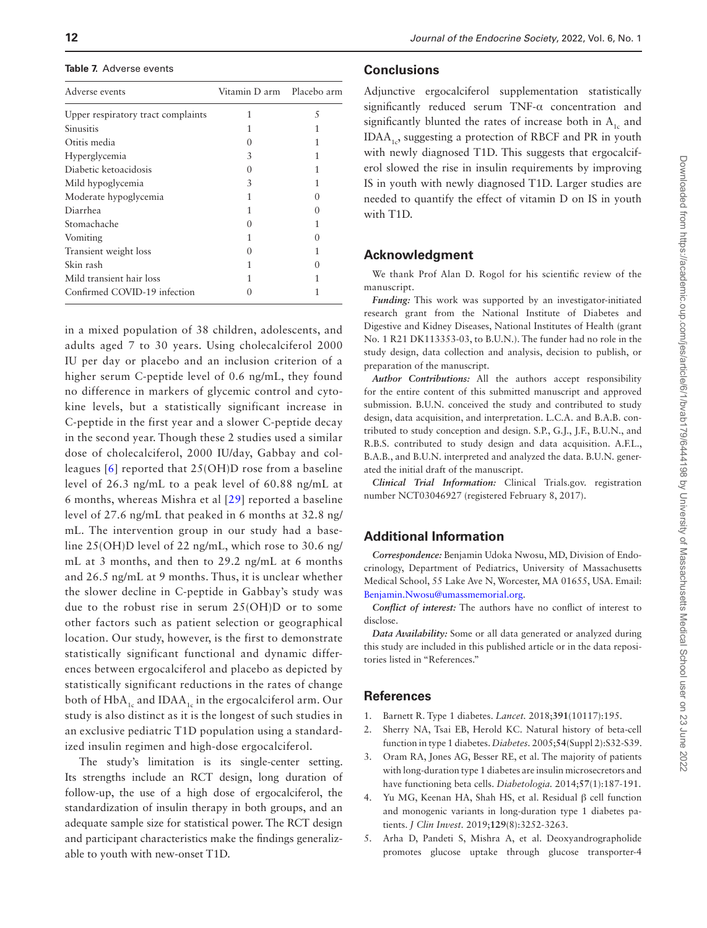<span id="page-12-4"></span>**Table 7.** Adverse events

| Adverse events                     | Vitamin D arm - Placebo arm |               |
|------------------------------------|-----------------------------|---------------|
| Upper respiratory tract complaints |                             | 5             |
| Sinusitis                          |                             |               |
| Otitis media                       |                             | 1             |
| Hyperglycemia                      | 3                           |               |
| Diabetic ketoacidosis              |                             |               |
| Mild hypoglycemia                  | 3                           | 1             |
| Moderate hypoglycemia              |                             |               |
| Diarrhea                           |                             | $\mathcal{O}$ |
| Stomachache                        |                             | 1             |
| Vomiting                           |                             |               |
| Transient weight loss              |                             |               |
| Skin rash                          |                             | 0             |
| Mild transient hair loss           |                             |               |
| Confirmed COVID-19 infection       |                             |               |
|                                    |                             |               |

in a mixed population of 38 children, adolescents, and adults aged 7 to 30 years. Using cholecalciferol 2000 IU per day or placebo and an inclusion criterion of a higher serum C-peptide level of 0.6 ng/mL, they found no difference in markers of glycemic control and cytokine levels, but a statistically significant increase in C-peptide in the first year and a slower C-peptide decay in the second year. Though these 2 studies used a similar dose of cholecalciferol, 2000 IU/day, Gabbay and colleagues [[6](#page-13-0)] reported that 25(OH)D rose from a baseline level of 26.3 ng/mL to a peak level of 60.88 ng/mL at 6 months, whereas Mishra et al [\[29](#page-13-21)] reported a baseline level of 27.6 ng/mL that peaked in 6 months at 32.8 ng/ mL. The intervention group in our study had a baseline 25(OH)D level of 22 ng/mL, which rose to 30.6 ng/ mL at 3 months, and then to 29.2 ng/mL at 6 months and 26.5 ng/mL at 9 months. Thus, it is unclear whether the slower decline in C-peptide in Gabbay's study was due to the robust rise in serum 25(OH)D or to some other factors such as patient selection or geographical location. Our study, however, is the first to demonstrate statistically significant functional and dynamic differences between ergocalciferol and placebo as depicted by statistically significant reductions in the rates of change both of  $HbA_{1c}$  and IDA $A_{1c}$  in the ergocalciferol arm. Our study is also distinct as it is the longest of such studies in an exclusive pediatric T1D population using a standardized insulin regimen and high-dose ergocalciferol.

The study's limitation is its single-center setting. Its strengths include an RCT design, long duration of follow-up, the use of a high dose of ergocalciferol, the standardization of insulin therapy in both groups, and an adequate sample size for statistical power. The RCT design and participant characteristics make the findings generalizable to youth with new-onset T1D.

# **Conclusions**

Adjunctive ergocalciferol supplementation statistically significantly reduced serum TNF-α concentration and significantly blunted the rates of increase both in  $A_1$  and IDAA<sub>1c</sub>, suggesting a protection of RBCF and PR in youth with newly diagnosed T1D. This suggests that ergocalciferol slowed the rise in insulin requirements by improving IS in youth with newly diagnosed T1D. Larger studies are needed to quantify the effect of vitamin D on IS in youth with T1D.

# **Acknowledgment**

We thank Prof Alan D. Rogol for his scientific review of the manuscript.

*Funding:* This work was supported by an investigator-initiated research grant from the National Institute of Diabetes and Digestive and Kidney Diseases, National Institutes of Health (grant No. 1 R21 DK113353-03, to B.U.N.). The funder had no role in the study design, data collection and analysis, decision to publish, or preparation of the manuscript.

*Author Contributions:* All the authors accept responsibility for the entire content of this submitted manuscript and approved submission. B.U.N. conceived the study and contributed to study design, data acquisition, and interpretation. L.C.A. and B.A.B. contributed to study conception and design. S.P., G.J., J.F., B.U.N., and R.B.S. contributed to study design and data acquisition. A.F.L., B.A.B., and B.U.N. interpreted and analyzed the data. B.U.N. generated the initial draft of the manuscript.

*Clinical Trial Information:* Clinical Trials.gov. registration number NCT03046927 (registered February 8, 2017).

# **Additional Information**

*Correspondence:* Benjamin Udoka Nwosu, MD, Division of Endocrinology, Department of Pediatrics, University of Massachusetts Medical School, 55 Lake Ave N, Worcester, MA 01655, USA. Email: [Benjamin.Nwosu@umassmemorial.org.](mailto:Benjamin.Nwosu@umassmemorial.org?subject=)

*Conflict of interest:* The authors have no conflict of interest to disclose.

*Data Availability:* Some or all data generated or analyzed during this study are included in this published article or in the data repositories listed in "References."

## **References**

- <span id="page-12-0"></span>1. Barnett R. Type 1 diabetes. *Lancet.* 2018;**391**(10117):195.
- <span id="page-12-1"></span>2. Sherry NA, Tsai EB, Herold KC. Natural history of beta-cell function in type 1 diabetes. *Diabetes.* 2005;**54**(Suppl 2):S32-S39.
- 3. Oram RA, Jones AG, Besser RE, et al. The majority of patients with long-duration type 1 diabetes are insulin microsecretors and have functioning beta cells. *Diabetologia.* 2014;**57**(1):187-191.
- <span id="page-12-2"></span>4. Yu MG, Keenan HA, Shah HS, et al. Residual β cell function and monogenic variants in long-duration type 1 diabetes patients. *J Clin Invest.* 2019;**129**(8):3252-3263.
- <span id="page-12-3"></span>5. Arha D, Pandeti S, Mishra A, et al. Deoxyandrographolide promotes glucose uptake through glucose transporter-4